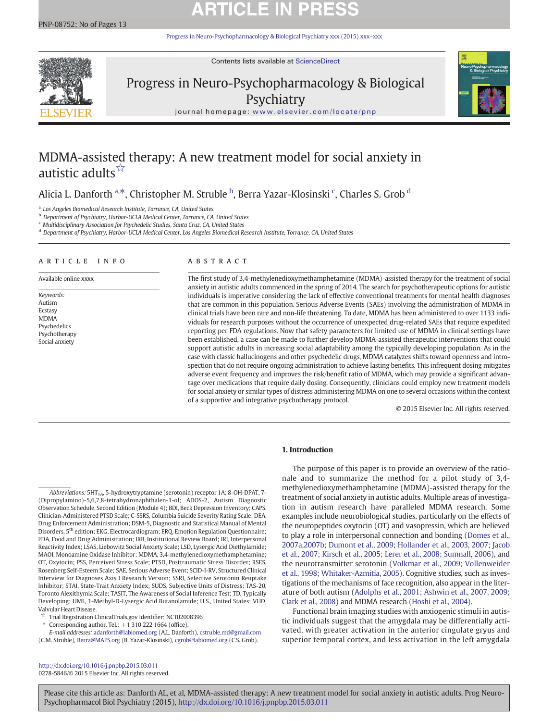# **ARTICLE IN PRESS**

[Progress in Neuro-Psychopharmacology & Biological Psychiatry xxx \(2015\) xxx](http://dx.doi.org/10.1016/j.pnpbp.2015.03.011)–xxx



Contents lists available at ScienceDirect

# Progress in Neuro-Psychopharmacology & Biological **Psychiatry**



journal homepage: <www.elsevier.com/locate/pnp>

## MDMA-assisted therapy: A new treatment model for social anxiety in autistic adults<sup>☆</sup>

## Alicia L. Danforth <sup>a,\*</sup>, Christopher M. Struble <sup>b</sup>, Berra Yazar-Klosinski <sup>c</sup>, Charles S. Grob <sup>d</sup>

<sup>a</sup> Los Angeles Biomedical Research Institute, Torrance, CA, United States

**b** Department of Psychiatry, Harbor-UCLA Medical Center, Torrance, CA, United States

<sup>c</sup> Multidisciplinary Association for Psychedelic Studies, Santa Cruz, CA, United States

<sup>d</sup> Department of Psychiatry, Harbor-UCLA Medical Center, Los Angeles Biomedical Research Institute, Torrance, CA, United States

#### article info abstract

Available online xxxx

Keywords: Autism Ecstasy MDMA Psychedelics Psychotherapy Social anxiety

The first study of 3,4-methylenedioxymethamphetamine (MDMA)-assisted therapy for the treatment of social anxiety in autistic adults commenced in the spring of 2014. The search for psychotherapeutic options for autistic individuals is imperative considering the lack of effective conventional treatments for mental health diagnoses that are common in this population. Serious Adverse Events (SAEs) involving the administration of MDMA in clinical trials have been rare and non-life threatening. To date, MDMA has been administered to over 1133 individuals for research purposes without the occurrence of unexpected drug-related SAEs that require expedited reporting per FDA regulations. Now that safety parameters for limited use of MDMA in clinical settings have been established, a case can be made to further develop MDMA-assisted therapeutic interventions that could support autistic adults in increasing social adaptability among the typically developing population. As in the case with classic hallucinogens and other psychedelic drugs, MDMA catalyzes shifts toward openness and introspection that do not require ongoing administration to achieve lasting benefits. This infrequent dosing mitigates adverse event frequency and improves the risk/benefit ratio of MDMA, which may provide a significant advantage over medications that require daily dosing. Consequently, clinicians could employ new treatment models for social anxiety or similar types of distress administering MDMA on one to several occasions within the context of a supportive and integrative psychotherapy protocol.

© 2015 Elsevier Inc. All rights reserved.

### 1. Introduction

Corresponding author. Tel.:  $+1$  310 222 1664 (office).

methylenedioxymethamphetamine (MDMA)-assisted therapy for the treatment of social anxiety in autistic adults. Multiple areas of investigation in autism research have paralleled MDMA research. Some examples include neurobiological studies, particularly on the effects of the neuropeptides oxytocin (OT) and vasopressin, which are believed to play a role in interpersonal connection and bonding ([Domes et al.,](#page-9-0) [2007a,2007b; Dumont et al., 2009; Hollander et al., 2003, 2007; Jacob](#page-9-0) [et al., 2007; Kirsch et al., 2005; Lerer et al., 2008; Sumnall, 2006\)](#page-9-0), and the neurotransmitter serotonin [\(Volkmar et al., 2009; Vollenweider](#page-11-0) [et al., 1998; Whitaker-Azmitia, 2005\)](#page-11-0). Cognitive studies, such as investigations of the mechanisms of face recognition, also appear in the literature of both autism ([Adolphs et al., 2001; Ashwin et al., 2007, 2009;](#page-8-0) [Clark et al., 2008\)](#page-8-0) and MDMA research ([Hoshi et al., 2004\)](#page-10-0).

The purpose of this paper is to provide an overview of the rationale and to summarize the method for a pilot study of 3,4-

Functional brain imaging studies with anxiogenic stimuli in autistic individuals suggest that the amygdala may be differentially activated, with greater activation in the anterior cingulate gryus and superior temporal cortex, and less activation in the left amygdala

<http://dx.doi.org/10.1016/j.pnpbp.2015.03.011> 0278-5846/© 2015 Elsevier Inc. All rights reserved.

Abbreviations: 5HT<sub>1A</sub>, 5-hydroxytryptamine (serotonin) receptor 1A; 8-OH-DPAT, 7-(Dipropylamino)-5,6,7,8-tetrahydronaphthalen-1-ol; ADOS-2, Autism Diagnostic Observation Schedule, Second Edition (Module 4); BDI, Beck Depression Inventory; CAPS, Clinician-Administered PTSD Scale; C-SSRS, Columbia Suicide Severity Rating Scale; DEA, Drug Enforcement Administration; DSM-5, Diagnostic and Statistical Manual of Mental Disorders, 5th edition; EKG, Electrocardiogram; ERQ, Emotion Regulation Questionnaire; FDA, Food and Drug Administration; IRB, Institutional Review Board; IRI, Interpersonal Reactivity Index; LSAS, Liebowitz Social Anxiety Scale; LSD, Lysergic Acid Diethylamide; MAOI, Monoamine Oxidase Inhibitor; MDMA, 3,4-methylenedioxymethamphetamine; OT, Oxytocin; PSS, Perceived Stress Scale; PTSD, Posttraumatic Stress Disorder; RSES, Rosenberg Self-Esteem Scale; SAE, Serious Adverse Event; SCID-I-RV, Structured Clinical Interview for Diagnoses Axis I Research Version; SSRI, Selective Serotonin Reuptake Inhibitor; STAI, State-Trait Anxiety Index; SUDS, Subjective Units of Distress; TAS-20, Toronto Alexithymia Scale; TASIT, The Awareness of Social Inference Test; TD, Typically Developing; UML, 1-Methyl-D-Lysergic Acid Butanolamide; U.S., United States; VHD, Valvular Heart Disease.

<sup>☆</sup> Trial Registration ClinicalTrials.gov Identifier: NCT02008396

E-mail addresses: [adanforth@labiomed.org](mailto:adanforth@labiomed.org) (A.L. Danforth), [cstruble.md@gmail.com](mailto:cstruble.md@gmail.com) (C.M. Struble), [Berra@MAPS.org](mailto:Berra@MAPS.org) (B. Yazar-Klosinski), [cgrob@labiomed.org](mailto:cgrob@labiomed.org) (C.S. Grob).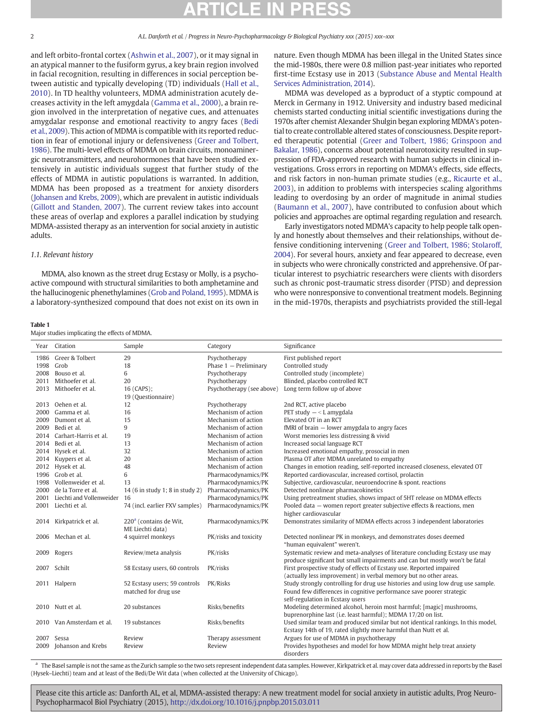<span id="page-1-0"></span>and left orbito-frontal cortex ([Ashwin et al., 2007](#page-8-0)), or it may signal in an atypical manner to the fusiform gyrus, a key brain region involved in facial recognition, resulting in differences in social perception between autistic and typically developing (TD) individuals ([Hall et al.,](#page-10-0) [2010](#page-10-0)). In TD healthy volunteers, MDMA administration acutely decreases activity in the left amygdala ([Gamma et al., 2000](#page-9-0)), a brain region involved in the interpretation of negative cues, and attenuates amygdalar response and emotional reactivity to angry faces ([Bedi](#page-9-0) [et al., 2009](#page-9-0)). This action of MDMA is compatible with its reported reduction in fear of emotional injury or defensiveness ([Greer and Tolbert,](#page-9-0) [1986\)](#page-9-0). The multi-level effects of MDMA on brain circuits, monoaminergic neurotransmitters, and neurohormones that have been studied extensively in autistic individuals suggest that further study of the effects of MDMA in autistic populations is warranted. In addition, MDMA has been proposed as a treatment for anxiety disorders [\(Johansen and Krebs, 2009\)](#page-10-0), which are prevalent in autistic individuals [\(Gillott and Standen, 2007](#page-9-0)). The current review takes into account these areas of overlap and explores a parallel indication by studying MDMA-assisted therapy as an intervention for social anxiety in autistic adults.

### 1.1. Relevant history

MDMA, also known as the street drug Ecstasy or Molly, is a psychoactive compound with structural similarities to both amphetamine and the hallucinogenic phenethylamines [\(Grob and Poland, 1995\)](#page-9-0). MDMA is a laboratory-synthesized compound that does not exist on its own in

#### Table 1

Major studies implicating the effects of MDMA.

nature. Even though MDMA has been illegal in the United States since the mid-1980s, there were 0.8 million past-year initiates who reported first-time Ecstasy use in 2013 ([Substance Abuse and Mental Health](#page-11-0) [Services Administration, 2014\)](#page-11-0).

MDMA was developed as a byproduct of a styptic compound at Merck in Germany in 1912. University and industry based medicinal chemists started conducting initial scientific investigations during the 1970s after chemist Alexander Shulgin began exploring MDMA's potential to create controllable altered states of consciousness. Despite reported therapeutic potential ([Greer and Tolbert, 1986; Grinspoon and](#page-9-0) [Bakalar, 1986\)](#page-9-0), concerns about potential neurotoxicity resulted in suppression of FDA-approved research with human subjects in clinical investigations. Gross errors in reporting on MDMA's effects, side effects, and risk factors in non-human primate studies (e.g., [Ricaurte et al.,](#page-11-0) [2003](#page-11-0)), in addition to problems with interspecies scaling algorithms leading to overdosing by an order of magnitude in animal studies [\(Baumann et al., 2007\)](#page-9-0), have contributed to confusion about which policies and approaches are optimal regarding regulation and research.

Early investigators noted MDMA's capacity to help people talk openly and honestly about themselves and their relationships, without defensive conditioning intervening [\(Greer and Tolbert, 1986; Stolaroff,](#page-9-0) [2004\)](#page-9-0). For several hours, anxiety and fear appeared to decrease, even in subjects who were chronically constricted and apprehensive. Of particular interest to psychiatric researchers were clients with disorders such as chronic post-traumatic stress disorder (PTSD) and depression who were nonresponsive to conventional treatment models. Beginning in the mid-1970s, therapists and psychiatrists provided the still-legal

|      | Year Citation                    | Sample                                                 | Category                  | Significance                                                                                                                                                                                                                                                     |
|------|----------------------------------|--------------------------------------------------------|---------------------------|------------------------------------------------------------------------------------------------------------------------------------------------------------------------------------------------------------------------------------------------------------------|
|      | 1986 Greer & Tolbert             | 29                                                     | Psychotherapy             | First published report                                                                                                                                                                                                                                           |
|      | 1998 Grob                        | 18                                                     | Phase $1 -$ Preliminary   | Controlled study                                                                                                                                                                                                                                                 |
|      | 2008 Bouso et al.                | 6                                                      | Psychotherapy             | Controlled study (incomplete)                                                                                                                                                                                                                                    |
|      | 2011 Mithoefer et al.            | 20                                                     | Psychotherapy             | Blinded, placebo controlled RCT                                                                                                                                                                                                                                  |
|      | 2013 Mithoefer et al.            | 16 (CAPS);                                             | Psychotherapy (see above) | Long term follow up of above                                                                                                                                                                                                                                     |
|      |                                  | 19 (Questionnaire)                                     |                           |                                                                                                                                                                                                                                                                  |
|      | 2013 Oehen et al.                | 12                                                     | Psychotherapy             | 2nd RCT, active placebo                                                                                                                                                                                                                                          |
|      | 2000 Gamma et al.                | 16                                                     | Mechanism of action       | PET study $-$ < L amygdala                                                                                                                                                                                                                                       |
|      | 2009 Dumont et al.               | 15                                                     | Mechanism of action       | Elevated OT in an RCT                                                                                                                                                                                                                                            |
|      | 2009 Bedi et al.                 | 9                                                      | Mechanism of action       | fMRI of brain - lower amygdala to angry faces                                                                                                                                                                                                                    |
|      | 2014 Carhart-Harris et al.       | 19                                                     | Mechanism of action       | Worst memories less distressing & vivid                                                                                                                                                                                                                          |
|      | 2014 Bedi et al.                 | 13                                                     | Mechanism of action       | Increased social language RCT                                                                                                                                                                                                                                    |
|      | 2014 Hysek et al.                | 32                                                     | Mechanism of action       | Increased emotional empathy, prosocial in men                                                                                                                                                                                                                    |
|      | 2014 Kuypers et al.              | 20                                                     | Mechanism of action       | Plasma OT after MDMA unrelated to empathy                                                                                                                                                                                                                        |
|      | 2012 Hysek et al.                | 48                                                     | Mechanism of action       | Changes in emotion reading, self-reported increased closeness, elevated OT                                                                                                                                                                                       |
|      | 1996 Grob et al.                 | 6                                                      | Pharmacodynamics/PK       | Reported cardiovascular, increased cortisol, prolactin                                                                                                                                                                                                           |
|      | 1998 Vollenweider et al.         | 13                                                     | Pharmacodynamics/PK       | Subjective, cardiovascular, neuroendocrine & spont, reactions                                                                                                                                                                                                    |
|      | 2000 de la Torre et al.          | 14 (6 in study 1; 8 in study 2)                        | Pharmacodynamics/PK       | Detected nonlinear pharmacokinetics                                                                                                                                                                                                                              |
|      | 2001 Liechti and Vollenweider 16 |                                                        | Pharmacodynamics/PK       | Using pretreatment studies, shows impact of 5HT release on MDMA effects                                                                                                                                                                                          |
|      | 2001 Liechti et al.              | 74 (incl. earlier FXV samples)                         | Pharmacodynamics/PK       | Pooled data - women report greater subjective effects & reactions, men<br>higher cardiovascular                                                                                                                                                                  |
|      | 2014 Kirkpatrick et al.          | 220 <sup>a</sup> (contains de Wit,<br>ME Liechti data) | Pharmacodynamics/PK       | Demonstrates similarity of MDMA effects across 3 independent laboratories                                                                                                                                                                                        |
|      | 2006 Mechan et al.               | 4 squirrel monkeys                                     | PK/risks and toxicity     | Detected nonlinear PK in monkeys, and demonstrates doses deemed<br>"human equivalent" weren't.                                                                                                                                                                   |
| 2009 | Rogers                           | Review/meta analysis                                   | PK/risks                  | Systematic review and meta-analyses of literature concluding Ecstasy use may<br>produce significant but small impairments and can but mostly won't be fatal                                                                                                      |
|      | 2007 Schilt                      | 58 Ecstasy users, 60 controls                          | PK/risks                  | First prospective study of effects of Ecstasy use. Reported impaired                                                                                                                                                                                             |
|      | 2011 Halpern                     | 52 Ecstasy users; 59 controls<br>matched for drug use  | PK/Risks                  | (actually less improvement) in verbal memory but no other areas.<br>Study strongly controlling for drug use histories and using low drug use sample.<br>Found few differences in cognitive performance save poorer strategic<br>self-regulation in Ecstasy users |
|      | 2010 Nutt et al.                 | 20 substances                                          | Risks/benefits            | Modeling determined alcohol, heroin most harmful; [magic] mushrooms,                                                                                                                                                                                             |
|      | 2010 Van Amsterdam et al.        | 19 substances                                          | Risks/benefits            | buprenorphine last (i.e. least harmful); MDMA 17/20 on list.<br>Used similar team and produced similar but not identical rankings. In this model,<br>Ecstasy 14th of 19, rated slightly more harmful than Nutt et al.                                            |
|      | 2007 Sessa                       | Review                                                 | Therapy assessment        | Argues for use of MDMA in psychotherapy                                                                                                                                                                                                                          |
| 2009 | Johanson and Krebs               | Review                                                 | Review                    | Provides hypotheses and model for how MDMA might help treat anxiety<br>disorders                                                                                                                                                                                 |

a The Basel sample is not the same as the Zurich sample so the two sets represent independent data samples. However, Kirkpatrick et al. may cover data addressed in reports by the Basel (Hysek–Liechti) team and at least of the Bedi/De Wit data (when collected at the University of Chicago).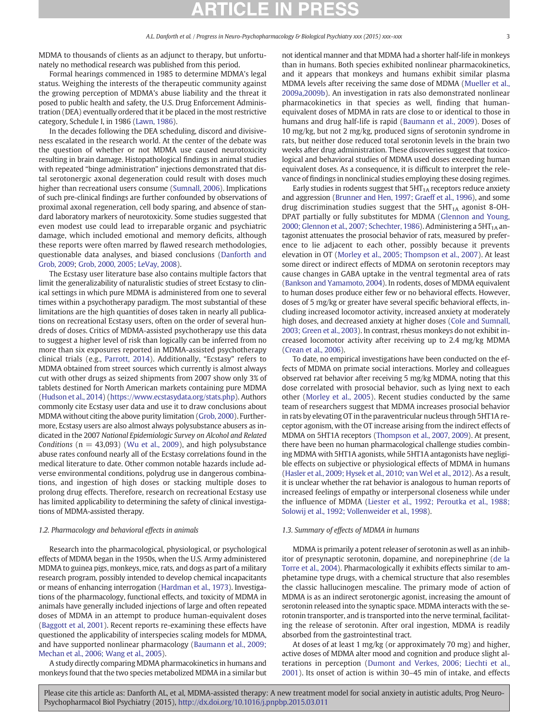MDMA to thousands of clients as an adjunct to therapy, but unfortunately no methodical research was published from this period.

Formal hearings commenced in 1985 to determine MDMA's legal status. Weighing the interests of the therapeutic community against the growing perception of MDMA's abuse liability and the threat it posed to public health and safety, the U.S. Drug Enforcement Administration (DEA) eventually ordered that it be placed in the most restrictive category, Schedule I, in 1986 [\(Lawn, 1986](#page-10-0)).

In the decades following the DEA scheduling, discord and divisiveness escalated in the research world. At the center of the debate was the question of whether or not MDMA use caused neurotoxicity resulting in brain damage. Histopathological findings in animal studies with repeated "binge administration" injections demonstrated that distal serotonergic axonal degeneration could result with doses much higher than recreational users consume ([Sumnall, 2006\)](#page-11-0). Implications of such pre-clinical findings are further confounded by observations of proximal axonal regeneration, cell body sparing, and absence of standard laboratory markers of neurotoxicity. Some studies suggested that even modest use could lead to irreparable organic and psychiatric damage, which included emotional and memory deficits, although these reports were often marred by flawed research methodologies, questionable data analyses, and biased conclusions [\(Danforth and](#page-9-0) [Grob, 2009;](#page-9-0) [Grob, 2000, 2005; LeVay, 2008\)](#page-9-0).

The Ecstasy user literature base also contains multiple factors that limit the generalizability of naturalistic studies of street Ecstasy to clinical settings in which pure MDMA is administered from one to several times within a psychotherapy paradigm. The most substantial of these limitations are the high quantities of doses taken in nearly all publications on recreational Ecstasy users, often on the order of several hundreds of doses. Critics of MDMA-assisted psychotherapy use this data to suggest a higher level of risk than logically can be inferred from no more than six exposures reported in MDMA-assisted psychotherapy clinical trials (e.g., [Parrott, 2014\)](#page-11-0). Additionally, "Ecstasy" refers to MDMA obtained from street sources which currently is almost always cut with other drugs as seized shipments from 2007 show only 3% of tablets destined for North American markets containing pure MDMA [\(Hudson et al., 2014\)](#page-10-0) [\(https://www.ecstasydata.org/stats.php\)](https://www.ecstasydata.org/stats.php). Authors commonly cite Ecstasy user data and use it to draw conclusions about MDMA without citing the above purity limitation ([Grob, 2000](#page-9-0)). Furthermore, Ecstasy users are also almost always polysubstance abusers as indicated in the 2007 National Epidemiologic Survey on Alcohol and Related Conditions ( $n = 43,093$ ) ([Wu et al., 2009](#page-12-0)), and high polysubstance abuse rates confound nearly all of the Ecstasy correlations found in the medical literature to date. Other common notable hazards include adverse environmental conditions, polydrug use in dangerous combinations, and ingestion of high doses or stacking multiple doses to prolong drug effects. Therefore, research on recreational Ecstasy use has limited applicability to determining the safety of clinical investigations of MDMA-assisted therapy.

### 1.2. Pharmacology and behavioral effects in animals

Research into the pharmacological, physiological, or psychological effects of MDMA began in the 1950s, when the U.S. Army administered MDMA to guinea pigs, monkeys, mice, rats, and dogs as part of a military research program, possibly intended to develop chemical incapacitants or means of enhancing interrogation ([Hardman et al., 1973](#page-10-0)). Investigations of the pharmacology, functional effects, and toxicity of MDMA in animals have generally included injections of large and often repeated doses of MDMA in an attempt to produce human-equivalent doses [\(Baggott et al, 2001](#page-8-0)). Recent reports re-examining these effects have questioned the applicability of interspecies scaling models for MDMA, and have supported nonlinear pharmacology ([Baumann et al., 2009;](#page-9-0) [Mechan et al., 2006; Wang et al., 2005](#page-9-0)).

A study directly comparing MDMA pharmacokinetics in humans and monkeys found that the two species metabolized MDMA in a similar but not identical manner and that MDMA had a shorter half-life in monkeys than in humans. Both species exhibited nonlinear pharmacokinetics, and it appears that monkeys and humans exhibit similar plasma MDMA levels after receiving the same dose of MDMA ([Mueller et al.,](#page-10-0) [2009a,2009b](#page-10-0)). An investigation in rats also demonstrated nonlinear pharmacokinetics in that species as well, finding that humanequivalent doses of MDMA in rats are close to or identical to those in humans and drug half-life is rapid ([Baumann et al., 2009](#page-9-0)). Doses of 10 mg/kg, but not 2 mg/kg, produced signs of serotonin syndrome in rats, but neither dose reduced total serotonin levels in the brain two weeks after drug administration. These discoveries suggest that toxicological and behavioral studies of MDMA used doses exceeding human equivalent doses. As a consequence, it is difficult to interpret the relevance of findings in nonclinical studies employing these dosing regimes.

Early studies in rodents suggest that  $5HT<sub>1A</sub>$  receptors reduce anxiety and aggression [\(Brunner and Hen, 1997; Graeff et al., 1996\)](#page-9-0), and some drug discrimination studies suggest that the  $5HT<sub>1A</sub>$  agonist 8-OH-DPAT partially or fully substitutes for MDMA ([Glennon and Young,](#page-9-0) [2000; Glennon et al., 2007; Schechter, 1986\)](#page-9-0). Administering a  $5HT<sub>1A</sub>$  antagonist attenuates the prosocial behavior of rats, measured by preference to lie adjacent to each other, possibly because it prevents elevation in OT ([Morley et al., 2005; Thompson et al., 2007](#page-10-0)). At least some direct or indirect effects of MDMA on serotonin receptors may cause changes in GABA uptake in the ventral tegmental area of rats [\(Bankson and Yamamoto, 2004\)](#page-8-0). In rodents, doses of MDMA equivalent to human doses produce either few or no behavioral effects. However, doses of 5 mg/kg or greater have several specific behavioral effects, including increased locomotor activity, increased anxiety at moderately high doses, and decreased anxiety at higher doses ([Cole and Sumnall,](#page-9-0) [2003; Green et al., 2003\)](#page-9-0). In contrast, rhesus monkeys do not exhibit increased locomotor activity after receiving up to 2.4 mg/kg MDMA [\(Crean et al., 2006](#page-9-0)).

To date, no empirical investigations have been conducted on the effects of MDMA on primate social interactions. Morley and colleagues observed rat behavior after receiving 5 mg/kg MDMA, noting that this dose correlated with prosocial behavior, such as lying next to each other ([Morley et al., 2005](#page-10-0)). Recent studies conducted by the same team of researchers suggest that MDMA increases prosocial behavior in rats by elevating OT in the paraventricular nucleus through 5HT1A receptor agonism, with the OT increase arising from the indirect effects of MDMA on 5HT1A receptors ([Thompson et al., 2007, 2009](#page-11-0)). At present, there have been no human pharmacological challenge studies combining MDMA with 5HT1A agonists, while 5HT1A antagonists have negligible effects on subjective or physiological effects of MDMA in humans [\(Hasler et al., 2009; Hysek et al., 2010;](#page-10-0) [van Wel et al., 2012](#page-11-0)). As a result, it is unclear whether the rat behavior is analogous to human reports of increased feelings of empathy or interpersonal closeness while under the influence of MDMA [\(Liester et al., 1992; Peroutka et al., 1988;](#page-10-0) [Solowij et al., 1992; Vollenweider et al., 1998](#page-10-0)).

### 1.3. Summary of effects of MDMA in humans

MDMA is primarily a potent releaser of serotonin as well as an inhibitor of presynaptic serotonin, dopamine, and norepinephrine [\(de la](#page-9-0) [Torre et al., 2004](#page-9-0)). Pharmacologically it exhibits effects similar to amphetamine type drugs, with a chemical structure that also resembles the classic hallucinogen mescaline. The primary mode of action of MDMA is as an indirect serotonergic agonist, increasing the amount of serotonin released into the synaptic space. MDMA interacts with the serotonin transporter, and is transported into the nerve terminal, facilitating the release of serotonin. After oral ingestion, MDMA is readily absorbed from the gastrointestinal tract.

At doses of at least 1 mg/kg (or approximately 70 mg) and higher, active doses of MDMA alter mood and cognition and produce slight alterations in perception [\(Dumont and Verkes, 2006; Liechti et al.,](#page-9-0) [2001\)](#page-9-0). Its onset of action is within 30–45 min of intake, and effects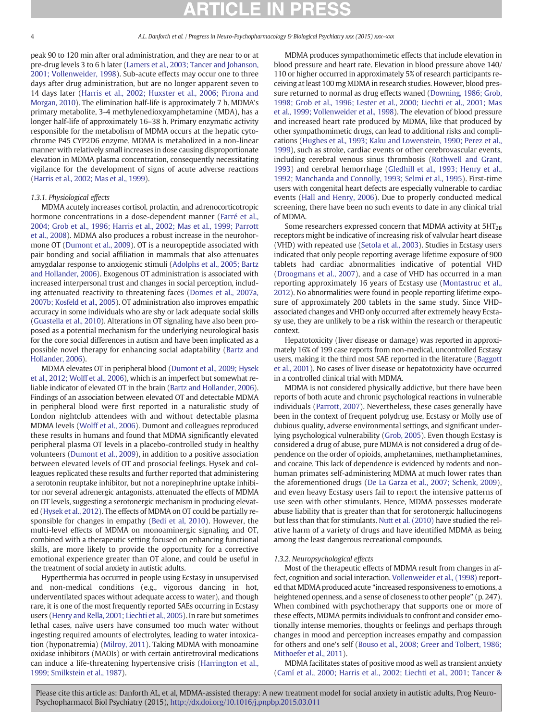peak 90 to 120 min after oral administration, and they are near to or at pre-drug levels 3 to 6 h later [\(Lamers et al., 2003; Tancer and Johanson,](#page-10-0) [2001; Vollenweider, 1998](#page-10-0)). Sub-acute effects may occur one to three days after drug administration, but are no longer apparent seven to 14 days later ([Harris et al., 2002; Huxster et al., 2006; Pirona and](#page-10-0) [Morgan, 2010](#page-10-0)). The elimination half-life is approximately 7 h. MDMA's primary metabolite, 3-4 methylenedioxyamphetamine (MDA), has a longer half-life of approximately 16–38 h. Primary enzymatic activity responsible for the metabolism of MDMA occurs at the hepatic cytochrome P45 CYP2D6 enzyme. MDMA is metabolized in a non-linear manner with relatively small increases in dose causing disproportionate elevation in MDMA plasma concentration, consequently necessitating vigilance for the development of signs of acute adverse reactions [\(Harris et al., 2002; Mas et al., 1999\)](#page-10-0).

### 1.3.1. Physiological effects

MDMA acutely increases cortisol, prolactin, and adrenocorticotropic hormone concentrations in a dose-dependent manner ([Farré et al.,](#page-9-0) [2004; Grob et al., 1996; Harris et al., 2002; Mas et al., 1999; Parrott](#page-9-0) [et al., 2008](#page-9-0)). MDMA also produces a robust increase in the neurohormone OT [\(Dumont et al., 2009\)](#page-9-0). OT is a neuropeptide associated with pair bonding and social affiliation in mammals that also attenuates amygdalar response to anxiogenic stimuli [\(Adolphs et al., 2005; Bartz](#page-8-0) [and Hollander, 2006](#page-8-0)). Exogenous OT administration is associated with increased interpersonal trust and changes in social perception, including attenuated reactivity to threatening faces [\(Domes et al., 2007a,](#page-9-0) [2007b; Kosfeld et al., 2005](#page-9-0)). OT administration also improves empathic accuracy in some individuals who are shy or lack adequate social skills [\(Guastella et al., 2010\)](#page-10-0). Alterations in OT signaling have also been proposed as a potential mechanism for the underlying neurological basis for the core social differences in autism and have been implicated as a possible novel therapy for enhancing social adaptability [\(Bartz and](#page-8-0) [Hollander, 2006](#page-8-0)).

MDMA elevates OT in peripheral blood ([Dumont et al., 2009; Hysek](#page-9-0) [et al., 2012; Wolff et al., 2006](#page-9-0)), which is an imperfect but somewhat reliable indicator of elevated OT in the brain [\(Bartz and Hollander, 2006\)](#page-8-0). Findings of an association between elevated OT and detectable MDMA in peripheral blood were first reported in a naturalistic study of London nightclub attendees with and without detectable plasma MDMA levels ([Wolff et al., 2006\)](#page-12-0). Dumont and colleagues reproduced these results in humans and found that MDMA significantly elevated peripheral plasma OT levels in a placebo-controlled study in healthy volunteers ([Dumont et al., 2009](#page-9-0)), in addition to a positive association between elevated levels of OT and prosocial feelings. Hysek and colleagues replicated these results and further reported that administering a serotonin reuptake inhibitor, but not a norepinephrine uptake inhibitor nor several adrenergic antagonists, attenuated the effects of MDMA on OT levels, suggesting a serotonergic mechanism in producing elevated ([Hysek et al., 2012\)](#page-10-0). The effects of MDMA on OT could be partially responsible for changes in empathy [\(Bedi et al, 2010](#page-9-0)). However, the multi-level effects of MDMA on monoaminergic signaling and OT, combined with a therapeutic setting focused on enhancing functional skills, are more likely to provide the opportunity for a corrective emotional experience greater than OT alone, and could be useful in the treatment of social anxiety in autistic adults.

Hyperthermia has occurred in people using Ecstasy in unsupervised and non-medical conditions (e.g., vigorous dancing in hot, underventilated spaces without adequate access to water), and though rare, it is one of the most frequently reported SAEs occurring in Ecstasy users [\(Henry and Rella, 2001; Liechti et al., 2005](#page-10-0)). In rare but sometimes lethal cases, naïve users have consumed too much water without ingesting required amounts of electrolytes, leading to water intoxication (hyponatremia) [\(Milroy, 2011](#page-10-0)). Taking MDMA with monoamine oxidase inhibitors (MAOIs) or with certain antiretroviral medications can induce a life-threatening hypertensive crisis [\(Harrington et al.,](#page-10-0) [1999; Smilkstein et al., 1987](#page-10-0)).

MDMA produces sympathomimetic effects that include elevation in blood pressure and heart rate. Elevation in blood pressure above 140/ 110 or higher occurred in approximately 5% of research participants receiving at least 100 mg MDMA in research studies. However, blood pressure returned to normal as drug effects waned ([Downing, 1986; Grob,](#page-9-0) [1998; Grob et al., 1996; Lester et al., 2000; Liechti et al., 2001; Mas](#page-9-0) [et al., 1999; Vollenweider et al., 1998\)](#page-9-0). The elevation of blood pressure and increased heart rate produced by MDMA, like that produced by other sympathomimetic drugs, can lead to additional risks and complications [\(Hughes et al., 1993; Kaku and Lowenstein, 1990; Perez et al.,](#page-10-0) [1999\)](#page-10-0), such as stroke, cardiac events or other cerebrovascular events, including cerebral venous sinus thrombosis ([Rothwell and Grant,](#page-11-0) [1993](#page-11-0)) and cerebral hemorrhage ([Gledhill et al., 1993; Henry et al.,](#page-9-0) [1992; Manchanda and Connolly, 1993; Selmi et al., 1995\)](#page-9-0). First-time users with congenital heart defects are especially vulnerable to cardiac events [\(Hall and Henry, 2006](#page-10-0)). Due to properly conducted medical screening, there have been no such events to date in any clinical trial of MDMA.

Some researchers expressed concern that MDMA activity at  $5HT_{2B}$ receptors might be indicative of increasing risk of valvular heart disease (VHD) with repeated use ([Setola et al., 2003\)](#page-11-0). Studies in Ecstasy users indicated that only people reporting average lifetime exposure of 900 tablets had cardiac abnormalities indicative of potential VHD [\(Droogmans et al., 2007](#page-9-0)), and a case of VHD has occurred in a man reporting approximately 16 years of Ecstasy use ([Montastruc et al.,](#page-10-0) [2012\)](#page-10-0). No abnormalities were found in people reporting lifetime exposure of approximately 200 tablets in the same study. Since VHDassociated changes and VHD only occurred after extremely heavy Ecstasy use, they are unlikely to be a risk within the research or therapeutic context.

Hepatotoxicity (liver disease or damage) was reported in approximately 16% of 199 case reports from non-medical, uncontrolled Ecstasy users, making it the third most SAE reported in the literature [\(Baggott](#page-8-0) [et al., 2001](#page-8-0)). No cases of liver disease or hepatotoxicity have occurred in a controlled clinical trial with MDMA.

MDMA is not considered physically addictive, but there have been reports of both acute and chronic psychological reactions in vulnerable individuals [\(Parrott, 2007](#page-11-0)). Nevertheless, these cases generally have been in the context of frequent polydrug use, Ecstasy or Molly use of dubious quality, adverse environmental settings, and significant underlying psychological vulnerability ([Grob, 2005\)](#page-9-0). Even though Ecstasy is considered a drug of abuse, pure MDMA is not considered a drug of dependence on the order of opioids, amphetamines, methamphetamines, and cocaine. This lack of dependence is evidenced by rodents and nonhuman primates self-administering MDMA at much lower rates than the aforementioned drugs ([De La Garza et al., 2007; Schenk, 2009](#page-9-0)), and even heavy Ecstasy users fail to report the intensive patterns of use seen with other stimulants. Hence, MDMA possesses moderate abuse liability that is greater than that for serotonergic hallucinogens but less than that for stimulants. [Nutt et al. \(2010\)](#page-11-0) have studied the relative harm of a variety of drugs and have identified MDMA as being among the least dangerous recreational compounds.

#### 1.3.2. Neuropsychological effects

Most of the therapeutic effects of MDMA result from changes in affect, cognition and social interaction. [Vollenweider et al., \(1998\)](#page-11-0) reported that MDMA produced acute "increased responsiveness to emotions, a heightened openness, and a sense of closeness to other people" (p. 247). When combined with psychotherapy that supports one or more of these effects, MDMA permits individuals to confront and consider emotionally intense memories, thoughts or feelings and perhaps through changes in mood and perception increases empathy and compassion for others and one's self ([Bouso et al., 2008; Greer and Tolbert, 1986;](#page-9-0) [Mithoefer et al., 2011](#page-9-0)).

MDMA facilitates states of positive mood as well as transient anxiety [\(Camí et al., 2000; Harris et al., 2002; Liechti et al., 2001](#page-9-0); [Tancer &](#page-11-0)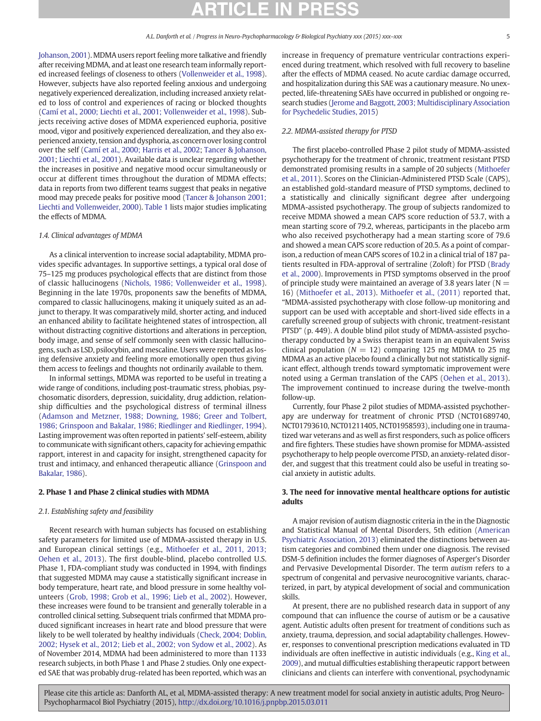[Johanson, 2001](#page-11-0)). MDMA users report feeling more talkative and friendly after receiving MDMA, and at least one research team informally reported increased feelings of closeness to others [\(Vollenweider et al., 1998](#page-11-0)). However, subjects have also reported feeling anxious and undergoing negatively experienced derealization, including increased anxiety related to loss of control and experiences of racing or blocked thoughts [\(Camí et al., 2000; Liechti et al., 2001; Vollenweider et al., 1998\)](#page-9-0). Subjects receiving active doses of MDMA experienced euphoria, positive mood, vigor and positively experienced derealization, and they also experienced anxiety, tension and dysphoria, as concern over losing control over the self ([Camí et al., 2000; Harris et al., 2002](#page-9-0); [Tancer & Johanson,](#page-11-0) [2001](#page-11-0); [Liechti et al., 2001](#page-10-0)). Available data is unclear regarding whether the increases in positive and negative mood occur simultaneously or occur at different times throughout the duration of MDMA effects; data in reports from two different teams suggest that peaks in negative mood may precede peaks for positive mood ([Tancer & Johanson 2001;](#page-11-0) [Liechti and Vollenweider, 2000](#page-10-0)). [Table 1](#page-1-0) lists major studies implicating the effects of MDMA.

### 1.4. Clinical advantages of MDMA

As a clinical intervention to increase social adaptability, MDMA provides specific advantages. In supportive settings, a typical oral dose of 75–125 mg produces psychological effects that are distinct from those of classic hallucinogens [\(Nichols, 1986; Vollenweider et al., 1998](#page-11-0)). Beginning in the late 1970s, proponents saw the benefits of MDMA, compared to classic hallucinogens, making it uniquely suited as an adjunct to therapy. It was comparatively mild, shorter acting, and induced an enhanced ability to facilitate heightened states of introspection, all without distracting cognitive distortions and alterations in perception, body image, and sense of self commonly seen with classic hallucinogens, such as LSD, psilocybin, and mescaline. Users were reported as losing defensive anxiety and feeling more emotionally open thus giving them access to feelings and thoughts not ordinarily available to them.

In informal settings, MDMA was reported to be useful in treating a wide range of conditions, including post-traumatic stress, phobias, psychosomatic disorders, depression, suicidality, drug addiction, relationship difficulties and the psychological distress of terminal illness [\(Adamson and Metzner, 1988; Downing, 1986; Greer and Tolbert,](#page-8-0) [1986; Grinspoon and Bakalar, 1986; Riedlinger and Riedlinger, 1994](#page-8-0)). Lasting improvement was often reported in patients' self-esteem, ability to communicate with significant others, capacity for achieving empathic rapport, interest in and capacity for insight, strengthened capacity for trust and intimacy, and enhanced therapeutic alliance ([Grinspoon and](#page-9-0) [Bakalar, 1986](#page-9-0)).

### 2. Phase 1 and Phase 2 clinical studies with MDMA

### 2.1. Establishing safety and feasibility

Recent research with human subjects has focused on establishing safety parameters for limited use of MDMA-assisted therapy in U.S. and European clinical settings (e.g., [Mithoefer et al., 2011, 2013;](#page-10-0) [Oehen et al., 2013\)](#page-10-0). The first double-blind, placebo controlled U.S. Phase 1, FDA-compliant study was conducted in 1994, with findings that suggested MDMA may cause a statistically significant increase in body temperature, heart rate, and blood pressure in some healthy volunteers ([Grob, 1998; Grob et al., 1996; Lieb et al., 2002](#page-9-0)). However, these increases were found to be transient and generally tolerable in a controlled clinical setting. Subsequent trials confirmed that MDMA produced significant increases in heart rate and blood pressure that were likely to be well tolerated by healthy individuals [\(Check, 2004; Doblin,](#page-9-0) [2002; Hysek et al., 2012; Lieb et al., 2002; von Sydow et al., 2002](#page-9-0)). As of November 2014, MDMA had been administered to more than 1133 research subjects, in both Phase 1 and Phase 2 studies. Only one expected SAE that was probably drug-related has been reported, which was an increase in frequency of premature ventricular contractions experienced during treatment, which resolved with full recovery to baseline after the effects of MDMA ceased. No acute cardiac damage occurred, and hospitalization during this SAE was a cautionary measure. No unexpected, life-threatening SAEs have occurred in published or ongoing research studies [\(Jerome and Baggott, 2003; Multidisciplinary Association](#page-10-0) [for Psychedelic Studies, 2015](#page-10-0))

### 2.2. MDMA-assisted therapy for PTSD

The first placebo-controlled Phase 2 pilot study of MDMA-assisted psychotherapy for the treatment of chronic, treatment resistant PTSD demonstrated promising results in a sample of 20 subjects [\(Mithoefer](#page-10-0) [et al., 2011\)](#page-10-0). Scores on the Clinician-Administered PTSD Scale (CAPS), an established gold-standard measure of PTSD symptoms, declined to a statistically and clinically significant degree after undergoing MDMA-assisted psychotherapy. The group of subjects randomized to receive MDMA showed a mean CAPS score reduction of 53.7, with a mean starting score of 79.2, whereas, participants in the placebo arm who also received psychotherapy had a mean starting score of 79.6 and showed a mean CAPS score reduction of 20.5. As a point of comparison, a reduction of mean CAPS scores of 10.2 in a clinical trial of 187 patients resulted in FDA-approval of sertraline (Zoloft) for PTSD ([Brady](#page-9-0) [et al., 2000](#page-9-0)). Improvements in PTSD symptoms observed in the proof of principle study were maintained an average of 3.8 years later ( $N =$ 16) ([Mithoefer et al., 2013\)](#page-10-0). [Mithoefer et al., \(2011\)](#page-10-0) reported that, "MDMA-assisted psychotherapy with close follow-up monitoring and support can be used with acceptable and short-lived side effects in a carefully screened group of subjects with chronic, treatment-resistant PTSD" (p. 449). A double blind pilot study of MDMA-assisted psychotherapy conducted by a Swiss therapist team in an equivalent Swiss clinical population ( $N = 12$ ) comparing 125 mg MDMA to 25 mg MDMA as an active placebo found a clinically but not statistically significant effect, although trends toward symptomatic improvement were noted using a German translation of the CAPS [\(Oehen et al., 2013](#page-11-0)). The improvement continued to increase during the twelve-month follow-up.

Currently, four Phase 2 pilot studies of MDMA-assisted psychotherapy are underway for treatment of chronic PTSD (NCT01689740, NCT01793610, NCT01211405, NCT01958593), including one in traumatized war veterans and as well as first responders, such as police officers and fire fighters. These studies have shown promise for MDMA-assisted psychotherapy to help people overcome PTSD, an anxiety-related disorder, and suggest that this treatment could also be useful in treating social anxiety in autistic adults.

### 3. The need for innovative mental healthcare options for autistic adults

A major revision of autism diagnostic criteria in the in the Diagnostic and Statistical Manual of Mental Disorders, 5th edition [\(American](#page-8-0) [Psychiatric Association, 2013](#page-8-0)) eliminated the distinctions between autism categories and combined them under one diagnosis. The revised DSM-5 definition includes the former diagnoses of Asperger's Disorder and Pervasive Developmental Disorder. The term autism refers to a spectrum of congenital and pervasive neurocognitive variants, characterized, in part, by atypical development of social and communication skills.

At present, there are no published research data in support of any compound that can influence the course of autism or be a causative agent. Autistic adults often present for treatment of conditions such as anxiety, trauma, depression, and social adaptability challenges. However, responses to conventional prescription medications evaluated in TD individuals are often ineffective in autistic individuals (e.g., [King et al.,](#page-10-0) [2009](#page-10-0)), and mutual difficulties establishing therapeutic rapport between clinicians and clients can interfere with conventional, psychodynamic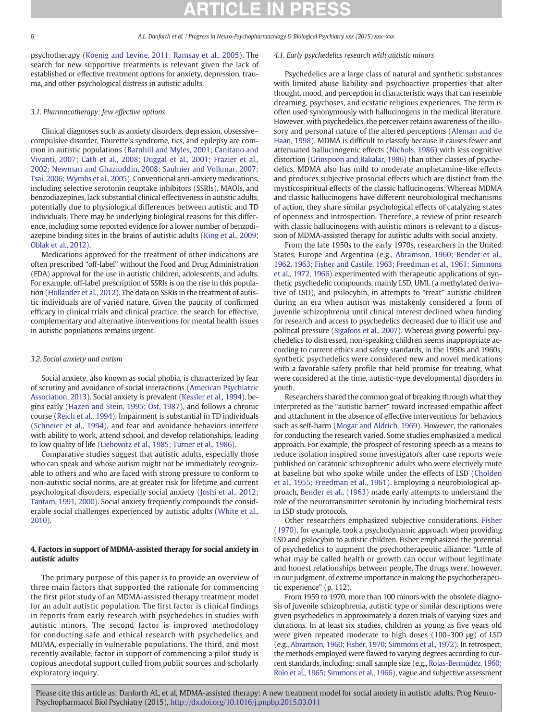psychotherapy [\(Koenig and Levine, 2011; Ramsay et al., 2005](#page-10-0)). The search for new supportive treatments is relevant given the lack of established or effective treatment options for anxiety, depression, trauma, and other psychological distress in autistic adults.

### 3.1. Pharmacotherapy: few effective options

Clinical diagnoses such as anxiety disorders, depression, obsessive– compulsive disorder, Tourette's syndrome, tics, and epilepsy are common in autistic populations [\(Barnhill and Myles, 2001; Canitano and](#page-8-0) [Vivanti, 2007; Cath et al., 2008; Duggal et al., 2001; Frazier et al.,](#page-8-0) [2002; Newman and Ghaziuddin, 2008; Saulnier and Volkmar, 2007;](#page-8-0) [Tsai, 2006; Wymbs et al., 2005\)](#page-8-0). Conventional anti-anxiety medications, including selective serotonin reuptake inhibitors (SSRIs), MAOIs, and benzodiazepines, lack substantial clinical effectiveness in autistic adults, potentially due to physiological differences between autistic and TD individuals. There may be underlying biological reasons for this difference, including some reported evidence for a lower number of benzodiazepine binding sites in the brains of autistic adults [\(King et al., 2009;](#page-10-0) [Oblak et al., 2012\)](#page-10-0).

Medications approved for the treatment of other indications are often prescribed "off-label" without the Food and Drug Administration (FDA) approval for the use in autistic children, adolescents, and adults. For example, off-label prescription of SSRIs is on the rise in this population [\(Hollander et al., 2012](#page-10-0)). The data on SSRIs in the treatment of autistic individuals are of varied nature. Given the paucity of confirmed efficacy in clinical trials and clinical practice, the search for effective, complementary and alternative interventions for mental health issues in autistic populations remains urgent.

#### 3.2. Social anxiety and autism

Social anxiety, also known as social phobia, is characterized by fear of scrutiny and avoidance of social interactions ([American Psychiatric](#page-8-0) [Association, 2013](#page-8-0)). Social anxiety is prevalent [\(Kessler et al., 1994\)](#page-10-0), begins early [\(Hazen and Stein, 1995; Öst, 1987](#page-10-0)), and follows a chronic course ([Reich et al., 1994](#page-11-0)). Impairment is substantial in TD individuals [\(Schneier et al., 1994](#page-11-0)), and fear and avoidance behaviors interfere with ability to work, attend school, and develop relationships, leading to low quality of life ([Liebowitz et al., 1985; Turner et al., 1986](#page-10-0)).

Comparative studies suggest that autistic adults, especially those who can speak and whose autism might not be immediately recognizable to others and who are faced with strong pressure to conform to non-autistic social norms, are at greater risk for lifetime and current psychological disorders, especially social anxiety ([Joshi et al., 2012;](#page-10-0) [Tantam, 1991, 2000](#page-10-0)). Social anxiety frequently compounds the considerable social challenges experienced by autistic adults ([White et al.,](#page-11-0) [2010\)](#page-11-0).

### 4. Factors in support of MDMA-assisted therapy for social anxiety in autistic adults

The primary purpose of this paper is to provide an overview of three main factors that supported the rationale for commencing the first pilot study of an MDMA-assisted therapy treatment model for an adult autistic population. The first factor is clinical findings in reports from early research with psychedelics in studies with autistic minors. The second factor is improved methodology for conducting safe and ethical research with psychedelics and MDMA, especially in vulnerable populations. The third, and most recently available, factor in support of commencing a pilot study is copious anecdotal support culled from public sources and scholarly exploratory inquiry.

#### 4.1. Early psychedelics research with autistic minors

Psychedelics are a large class of natural and synthetic substances with limited abuse liability and psychoactive properties that alter thought, mood, and perception in characteristic ways that can resemble dreaming, psychoses, and ecstatic religious experiences. The term is often used synonymously with hallucinogens in the medical literature. However, with psychedelics, the perceiver retains awareness of the illusory and personal nature of the altered perceptions [\(Aleman and de](#page-8-0) [Haan, 1998](#page-8-0)). MDMA is difficult to classify because it causes fewer and attenuated hallucinogenic effects ([Nichols, 1986](#page-11-0)) with less cognitive distortion [\(Grinspoon and Bakalar, 1986\)](#page-9-0) than other classes of psychedelics. MDMA also has mild to moderate amphetamine-like effects and produces subjective prosocial effects which are distinct from the mysticospiritual effects of the classic hallucinogens. Whereas MDMA and classic hallucinogens have different neurobiological mechanisms of action, they share similar psychological effects of catalyzing states of openness and introspection. Therefore, a review of prior research with classic hallucinogens with autistic minors is relevant to a discussion of MDMA-assisted therapy for autistic adults with social anxiety.

From the late 1950s to the early 1970s, researchers in the United States, Europe and Argentina (e.g., [Abramson, 1960; Bender et al.,](#page-8-0) [1962, 1963; Fisher and Castile, 1963; Freedman et al., 1961; Simmons](#page-8-0) [et al., 1972, 1966\)](#page-8-0) experimented with therapeutic applications of synthetic psychedelic compounds, mainly LSD, UML (a methylated derivative of LSD), and psilocybin, in attempts to "treat" autistic children during an era when autism was mistakenly considered a form of juvenile schizophrenia until clinical interest declined when funding for research and access to psychedelics decreased due to illicit use and political pressure [\(Sigafoos et al., 2007](#page-11-0)). Whereas giving powerful psychedelics to distressed, non-speaking children seems inappropriate according to current ethics and safety standards, in the 1950s and 1960s, synthetic psychedelics were considered new and novel medications with a favorable safety profile that held promise for treating, what were considered at the time, autistic-type developmental disorders in youth.

Researchers shared the common goal of breaking through what they interpreted as the "autistic barrier" toward increased empathic affect and attachment in the absence of effective interventions for behaviors such as self-harm [\(Mogar and Aldrich, 1969](#page-10-0)). However, the rationales for conducting the research varied. Some studies emphasized a medical approach. For example, the prospect of restoring speech as a means to reduce isolation inspired some investigators after case reports were published on catatonic schizophrenic adults who were electively mute at baseline but who spoke while under the effects of LSD [\(Cholden](#page-9-0) [et al., 1955; Freedman et al., 1961](#page-9-0)). Employing a neurobiological approach, [Bender et al., \(1963\)](#page-9-0) made early attempts to understand the role of the neurotransmitter serotonin by including biochemical tests in LSD study protocols.

Other researchers emphasized subjective considerations. [Fisher](#page-9-0) [\(1970\),](#page-9-0) for example, took a psychodynamic approach when providing LSD and psilocybin to autistic children. Fisher emphasized the potential of psychedelics to augment the psychotherapeutic alliance: "Little of what may be called health or growth can occur without legitimate and honest relationships between people. The drugs were, however, in our judgment, of extreme importance in making the psychotherapeutic experience" (p. 112).

From 1959 to 1970, more than 100 minors with the obsolete diagnosis of juvenile schizophrenia, autistic type or similar descriptions were given psychedelics in approximately a dozen trials of varying sizes and durations. In at least six studies, children as young as five years old were given repeated moderate to high doses (100–300 μg) of LSD (e.g., Abramson, 1960; Fisher, [1970; Simmons et al., 1972](#page-8-0)). In retrospect, the methods employed were flawed to varying degrees according to current standards, including: small sample size (e.g., [Rojas-Bermúdez, 1960;](#page-11-0) [Rolo et al., 1965; Simmons et al., 1966](#page-11-0)), vague and subjective assessment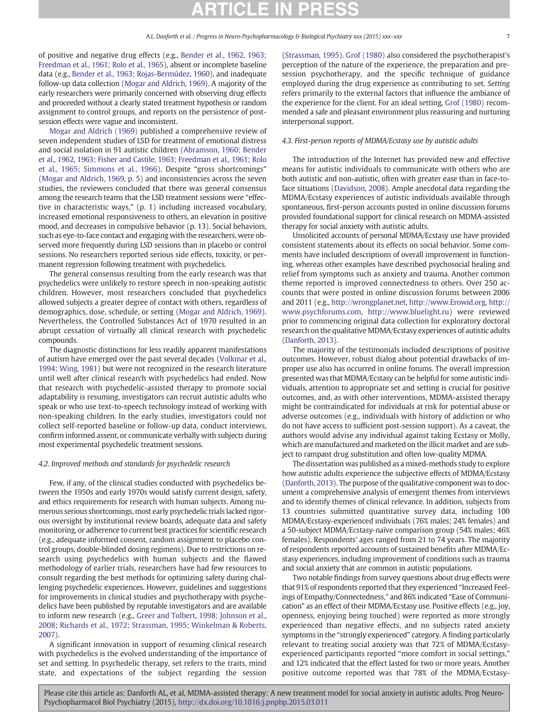of positive and negative drug effects (e.g., [Bender et al., 1962, 1963;](#page-9-0) [Freedman et al., 1961; Rolo et al., 1965](#page-9-0)), absent or incomplete baseline data (e.g., [Bender et al., 1963; Rojas-Bermúdez, 1960\)](#page-9-0), and inadequate follow-up data collection [\(Mogar and Aldrich, 1969\)](#page-10-0). A majority of the early researchers were primarily concerned with observing drug effects and proceeded without a clearly stated treatment hypothesis or random assignment to control groups, and reports on the persistence of postsession effects were vague and inconsistent.

[Mogar and Aldrich \(1969\)](#page-10-0) published a comprehensive review of seven independent studies of LSD for treatment of emotional distress and social isolation in 91 autistic children [\(Abramson, 1960; Bender](#page-8-0) [et al., 1962, 1963; Fisher and Castile, 1963; Freedman et al., 1961; Rolo](#page-8-0) [et al., 1965; Simmons et al., 1966](#page-8-0)). Despite "gross shortcomings" [\(Mogar and Aldrich, 1969, p. 5](#page-10-0)) and inconsistencies across the seven studies, the reviewers concluded that there was general consensus among the research teams that the LSD treatment sessions were "effective in characteristic ways," (p. 1) including increased vocabulary, increased emotional responsiveness to others, an elevation in positive mood, and decreases in compulsive behavior (p. 13). Social behaviors, such as eye-to-face contact and engaging with the researchers, were observed more frequently during LSD sessions than in placebo or control sessions. No researchers reported serious side effects, toxicity, or permanent regression following treatment with psychedelics.

The general consensus resulting from the early research was that psychedelics were unlikely to restore speech in non-speaking autistic children. However, most researchers concluded that psychedelics allowed subjects a greater degree of contact with others, regardless of demographics, dose, schedule, or setting [\(Mogar and Aldrich, 1969](#page-10-0)). Nevertheless, the Controlled Substances Act of 1970 resulted in an abrupt cessation of virtually all clinical research with psychedelic compounds.

The diagnostic distinctions for less readily apparent manifestations of autism have emerged over the past several decades ([Volkmar et al.,](#page-11-0) [1994; Wing, 1981](#page-11-0)) but were not recognized in the research literature until well after clinical research with psychedelics had ended. Now that research with psychedelic-assisted therapy to promote social adaptability is resuming, investigators can recruit autistic adults who speak or who use text-to-speech technology instead of working with non-speaking children. In the early studies, investigators could not collect self-reported baseline or follow-up data, conduct interviews, confirm informed assent, or communicate verbally with subjects during most experimental psychedelic treatment sessions.

### 4.2. Improved methods and standards for psychedelic research

Few, if any, of the clinical studies conducted with psychedelics between the 1950s and early 1970s would satisfy current design, safety, and ethics requirements for research with human subjects. Among numerous serious shortcomings, most early psychedelic trials lacked rigorous oversight by institutional review boards, adequate data and safety monitoring, or adherence to current best practices for scientific research (e.g., adequate informed consent, random assignment to placebo control groups, double-blinded dosing regimens). Due to restrictions on research using psychedelics with human subjects and the flawed methodology of earlier trials, researchers have had few resources to consult regarding the best methods for optimizing safety during challenging psychedelic experiences. However, guidelines and suggestions for improvements in clinical studies and psychotherapy with psychedelics have been published by reputable investigators and are available to inform new research (e.g., [Greer and Tolbert, 1998; Johnson et al.,](#page-9-0) [2008;](#page-9-0) [Richards et al., 1972; Strassman, 1995;](#page-11-0) [Winkelman & Roberts,](#page-12-0) [2007](#page-12-0)).

A significant innovation in support of resuming clinical research with psychedelics is the evolved understanding of the importance of set and setting. In psychedelic therapy, set refers to the traits, mind state, and expectations of the subject regarding the session

[\(Strassman, 1995](#page-11-0)). [Grof \(1980\)](#page-9-0) also considered the psychotherapist's perception of the nature of the experience, the preparation and presession psychotherapy, and the specific technique of guidance employed during the drug experience as contributing to set. Setting refers primarily to the external factors that influence the ambiance of the experience for the client. For an ideal setting, [Grof \(1980\)](#page-9-0) recommended a safe and pleasant environment plus reassuring and nurturing interpersonal support.

### 4.3. First-person reports of MDMA/Ecstasy use by autistic adults

The introduction of the Internet has provided new and effective means for autistic individuals to communicate with others who are both autistic and non-autistic, often with greater ease than in face-toface situations [\(Davidson, 2008](#page-9-0)). Ample anecdotal data regarding the MDMA/Ecstasy experiences of autistic individuals available through spontaneous, first-person accounts posted in online discussion forums provided foundational support for clinical research on MDMA-assisted therapy for social anxiety with autistic adults.

Unsolicited accounts of personal MDMA/Ecstasy use have provided consistent statements about its effects on social behavior. Some comments have included descriptions of overall improvement in functioning, whereas other examples have described psychosocial healing and relief from symptoms such as anxiety and trauma. Another common theme reported is improved connectedness to others. Over 250 accounts that were posted in online discussion forums between 2006 and 2011 (e.g., [http://wrongplanet.net,](http://wrongplanet.net) <http://www.Erowid.org>, [http://](http://www.psychforums.com) [www.psychforums.com,](http://www.psychforums.com) [http://www.bluelight.ru\)](http://www.bluelight.ru) were reviewed prior to commencing original data collection for exploratory doctoral research on the qualitative MDMA/Ecstasy experiences of autistic adults [\(Danforth, 2013](#page-9-0)).

The majority of the testimonials included descriptions of positive outcomes. However, robust dialog about potential drawbacks of improper use also has occurred in online forums. The overall impression presented was that MDMA/Ecstasy can be helpful for some autistic individuals, attention to appropriate set and setting is crucial for positive outcomes, and, as with other interventions, MDMA-assisted therapy might be contraindicated for individuals at risk for potential abuse or adverse outcomes (e.g., individuals with history of addiction or who do not have access to sufficient post-session support). As a caveat, the authors would advise any individual against taking Ecstasy or Molly, which are manufactured and marketed on the illicit market and are subject to rampant drug substitution and often low-quality MDMA.

The dissertation was published as a mixed-methods study to explore how autistic adults experience the subjective effects of MDMA/Ecstasy [\(Danforth, 2013\)](#page-9-0). The purpose of the qualitative component was to document a comprehensive analysis of emergent themes from interviews and to identify themes of clinical relevance. In addition, subjects from 13 countries submitted quantitative survey data, including 100 MDMA/Ecstasy-experienced individuals (76% males; 24% females) and a 50-subject MDMA/Ecstasy-naïve comparison group (54% males; 46% females). Respondents' ages ranged from 21 to 74 years. The majority of respondents reported accounts of sustained benefits after MDMA/Ecstasy experiences, including improvement of conditions such as trauma and social anxiety that are common in autistic populations.

Two notable findings from survey questions about drug effects were that 91% of respondents reported that they experienced "Increased Feelings of Empathy/Connectedness," and 86% indicated "Ease of Communication" as an effect of their MDMA/Ecstasy use. Positive effects (e.g., joy, openness, enjoying being touched) were reported as more strongly experienced than negative effects, and no subjects rated anxiety symptoms in the "strongly experienced" category. A finding particularly relevant to treating social anxiety was that 72% of MDMA/Ecstasyexperienced participants reported "more comfort in social settings," and 12% indicated that the effect lasted for two or more years. Another positive outcome reported was that 78% of the MDMA/Ecstasy-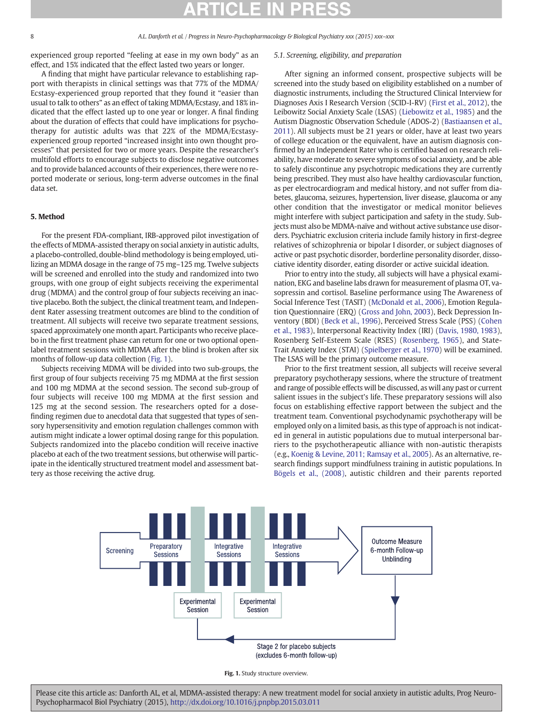experienced group reported "feeling at ease in my own body" as an effect, and 15% indicated that the effect lasted two years or longer.

A finding that might have particular relevance to establishing rapport with therapists in clinical settings was that 77% of the MDMA/ Ecstasy-experienced group reported that they found it "easier than usual to talk to others" as an effect of taking MDMA/Ecstasy, and 18% indicated that the effect lasted up to one year or longer. A final finding about the duration of effects that could have implications for psychotherapy for autistic adults was that 22% of the MDMA/Ecstasyexperienced group reported "increased insight into own thought processes" that persisted for two or more years. Despite the researcher's multifold efforts to encourage subjects to disclose negative outcomes and to provide balanced accounts of their experiences, there were no reported moderate or serious, long-term adverse outcomes in the final data set.

### 5. Method

For the present FDA-compliant, IRB-approved pilot investigation of the effects of MDMA-assisted therapy on social anxiety in autistic adults, a placebo-controlled, double-blind methodology is being employed, utilizing an MDMA dosage in the range of 75 mg–125 mg. Twelve subjects will be screened and enrolled into the study and randomized into two groups, with one group of eight subjects receiving the experimental drug (MDMA) and the control group of four subjects receiving an inactive placebo. Both the subject, the clinical treatment team, and Independent Rater assessing treatment outcomes are blind to the condition of treatment. All subjects will receive two separate treatment sessions, spaced approximately one month apart. Participants who receive placebo in the first treatment phase can return for one or two optional openlabel treatment sessions with MDMA after the blind is broken after six months of follow-up data collection (Fig. 1).

Subjects receiving MDMA will be divided into two sub-groups, the first group of four subjects receiving 75 mg MDMA at the first session and 100 mg MDMA at the second session. The second sub-group of four subjects will receive 100 mg MDMA at the first session and 125 mg at the second session. The researchers opted for a dosefinding regimen due to anecdotal data that suggested that types of sensory hypersensitivity and emotion regulation challenges common with autism might indicate a lower optimal dosing range for this population. Subjects randomized into the placebo condition will receive inactive placebo at each of the two treatment sessions, but otherwise will participate in the identically structured treatment model and assessment battery as those receiving the active drug.

### 5.1. Screening, eligibility, and preparation

After signing an informed consent, prospective subjects will be screened into the study based on eligibility established on a number of diagnostic instruments, including the Structured Clinical Interview for Diagnoses Axis I Research Version (SCID-I-RV) ([First et al., 2012](#page-9-0)), the Leibowitz Social Anxiety Scale (LSAS) ([Liebowitz et al., 1985\)](#page-10-0) and the Autism Diagnostic Observation Schedule (ADOS-2) [\(Bastiaansen et al.,](#page-8-0) [2011\)](#page-8-0). All subjects must be 21 years or older, have at least two years of college education or the equivalent, have an autism diagnosis confirmed by an Independent Rater who is certified based on research reliability, have moderate to severe symptoms of social anxiety, and be able to safely discontinue any psychotropic medications they are currently being prescribed. They must also have healthy cardiovascular function, as per electrocardiogram and medical history, and not suffer from diabetes, glaucoma, seizures, hypertension, liver disease, glaucoma or any other condition that the investigator or medical monitor believes might interfere with subject participation and safety in the study. Subjects must also be MDMA-naïve and without active substance use disorders. Psychiatric exclusion criteria include family history in first-degree relatives of schizophrenia or bipolar I disorder, or subject diagnoses of active or past psychotic disorder, borderline personality disorder, dissociative identity disorder, eating disorder or active suicidal ideation.

Prior to entry into the study, all subjects will have a physical examination, EKG and baseline labs drawn for measurement of plasma OT, vasopressin and cortisol. Baseline performance using The Awareness of Social Inference Test (TASIT) [\(McDonald et al., 2006](#page-10-0)), Emotion Regulation Questionnaire (ERQ) [\(Gross and John, 2003](#page-9-0)), Beck Depression Inventory (BDI) [\(Beck et al., 1996\)](#page-9-0), Perceived Stress Scale (PSS) ([Cohen](#page-9-0) [et al., 1983](#page-9-0)), Interpersonal Reactivity Index (IRI) [\(Davis, 1980, 1983](#page-9-0)), Rosenberg Self-Esteem Scale (RSES) ([Rosenberg, 1965\)](#page-11-0), and State-Trait Anxiety Index (STAI) [\(Spielberger et al., 1970](#page-11-0)) will be examined. The LSAS will be the primary outcome measure.

Prior to the first treatment session, all subjects will receive several preparatory psychotherapy sessions, where the structure of treatment and range of possible effects will be discussed, as will any past or current salient issues in the subject's life. These preparatory sessions will also focus on establishing effective rapport between the subject and the treatment team. Conventional psychodynamic psychotherapy will be employed only on a limited basis, as this type of approach is not indicated in general in autistic populations due to mutual interpersonal barriers to the psychotherapeutic alliance with non-autistic therapists (e.g., [Koenig & Levine, 2011; Ramsay et al., 2005](#page-10-0)). As an alternative, research findings support mindfulness training in autistic populations. In [Bögels et al., \(2008\),](#page-9-0) autistic children and their parents reported



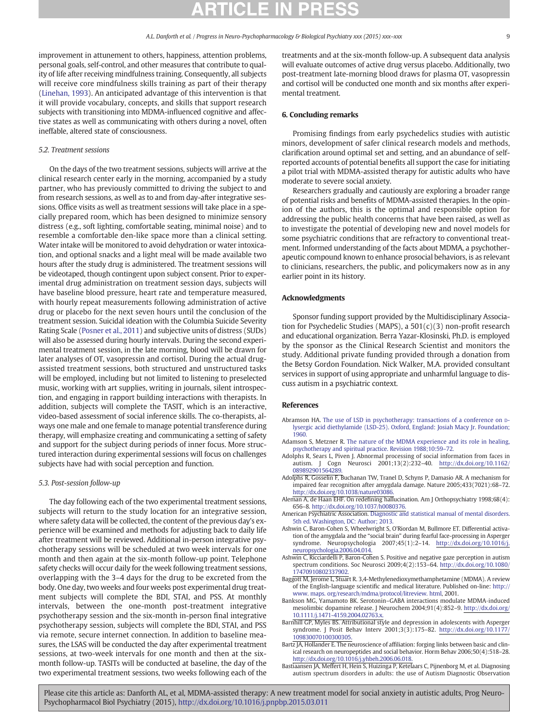<span id="page-8-0"></span>improvement in attunement to others, happiness, attention problems, personal goals, self-control, and other measures that contribute to quality of life after receiving mindfulness training. Consequently, all subjects will receive core mindfulness skills training as part of their therapy [\(Linehan, 1993\)](#page-10-0). An anticipated advantage of this intervention is that it will provide vocabulary, concepts, and skills that support research subjects with transitioning into MDMA-influenced cognitive and affective states as well as communicating with others during a novel, often ineffable, altered state of consciousness.

#### 5.2. Treatment sessions

On the days of the two treatment sessions, subjects will arrive at the clinical research center early in the morning, accompanied by a study partner, who has previously committed to driving the subject to and from research sessions, as well as to and from day-after integrative sessions. Office visits as well as treatment sessions will take place in a specially prepared room, which has been designed to minimize sensory distress (e.g., soft lighting, comfortable seating, minimal noise) and to resemble a comfortable den-like space more than a clinical setting. Water intake will be monitored to avoid dehydration or water intoxication, and optional snacks and a light meal will be made available two hours after the study drug is administered. The treatment sessions will be videotaped, though contingent upon subject consent. Prior to experimental drug administration on treatment session days, subjects will have baseline blood pressure, heart rate and temperature measured, with hourly repeat measurements following administration of active drug or placebo for the next seven hours until the conclusion of the treatment session. Suicidal ideation with the Columbia Suicide Severity Rating Scale [\(Posner et al., 2011\)](#page-11-0) and subjective units of distress (SUDs) will also be assessed during hourly intervals. During the second experimental treatment session, in the late morning, blood will be drawn for later analyses of OT, vasopressin and cortisol. During the actual drugassisted treatment sessions, both structured and unstructured tasks will be employed, including but not limited to listening to preselected music, working with art supplies, writing in journals, silent introspection, and engaging in rapport building interactions with therapists. In addition, subjects will complete the TASIT, which is an interactive, video-based assessment of social inference skills. The co-therapists, always one male and one female to manage potential transference during therapy, will emphasize creating and communicating a setting of safety and support for the subject during periods of inner focus. More structured interaction during experimental sessions will focus on challenges subjects have had with social perception and function.

#### 5.3. Post-session follow-up

The day following each of the two experimental treatment sessions, subjects will return to the study location for an integrative session, where safety data will be collected, the content of the previous day's experience will be examined and methods for adjusting back to daily life after treatment will be reviewed. Additional in-person integrative psychotherapy sessions will be scheduled at two week intervals for one month and then again at the six-month follow-up point. Telephone safety checks will occur daily for the week following treatment sessions, overlapping with the 3–4 days for the drug to be excreted from the body. One day, two weeks and four weeks post experimental drug treatment subjects will complete the BDI, STAI, and PSS. At monthly intervals, between the one-month post-treatment integrative psychotherapy session and the six-month in-person final integrative psychotherapy session, subjects will complete the BDI, STAI, and PSS via remote, secure internet connection. In addition to baseline measures, the LSAS will be conducted the day after experimental treatment sessions, at two-week intervals for one month and then at the sixmonth follow-up. TASITs will be conducted at baseline, the day of the two experimental treatment sessions, two weeks following each of the treatments and at the six-month follow-up. A subsequent data analysis will evaluate outcomes of active drug versus placebo. Additionally, two post-treatment late-morning blood draws for plasma OT, vasopressin and cortisol will be conducted one month and six months after experimental treatment.

#### 6. Concluding remarks

Promising findings from early psychedelics studies with autistic minors, development of safer clinical research models and methods, clarification around optimal set and setting, and an abundance of selfreported accounts of potential benefits all support the case for initiating a pilot trial with MDMA-assisted therapy for autistic adults who have moderate to severe social anxiety.

Researchers gradually and cautiously are exploring a broader range of potential risks and benefits of MDMA-assisted therapies. In the opinion of the authors, this is the optimal and responsible option for addressing the public health concerns that have been raised, as well as to investigate the potential of developing new and novel models for some psychiatric conditions that are refractory to conventional treatment. Informed understanding of the facts about MDMA, a psychotherapeutic compound known to enhance prosocial behaviors, is as relevant to clinicians, researchers, the public, and policymakers now as in any earlier point in its history.

### Acknowledgments

Sponsor funding support provided by the Multidisciplinary Association for Psychedelic Studies (MAPS), a 501(c)(3) non-profit research and educational organization. Berra Yazar-Klosinski, Ph.D. is employed by the sponsor as the Clinical Research Scientist and monitors the study. Additional private funding provided through a donation from the Betsy Gordon Foundation. Nick Walker, M.A. provided consultant services in support of using appropriate and unharmful language to discuss autism in a psychiatric context.

### References

- Abramson HA. [The use of LSD in psychotherapy: transactions of a conference on](http://refhub.elsevier.com/S0278-5846(15)00060-3/rf0005) [D](http://refhub.elsevier.com/S0278-5846(15)00060-3/rf0005)[lysergic acid diethylamide \(LSD-25\). Oxford, England: Josiah Macy Jr. Foundation;](http://refhub.elsevier.com/S0278-5846(15)00060-3/rf0005) [1960.](http://refhub.elsevier.com/S0278-5846(15)00060-3/rf0005)
- Adamson S, Metzner R. [The nature of the MDMA experience and its role in healing,](http://refhub.elsevier.com/S0278-5846(15)00060-3/rf0010) [psychotherapy and spiritual practice. Revision 1988;10:59](http://refhub.elsevier.com/S0278-5846(15)00060-3/rf0010)–72.
- Adolphs R, Sears L, Piven J. Abnormal processing of social information from faces in autism. J Cogn Neurosci 2001;13(2):232–40. http://dx.doi.org[/10.1162/](http://dx.doi.org/10.1162/089892901564289) [089892901564289.](http://dx.doi.org/10.1162/089892901564289)
- Adolphs R, Gosselin F, Buchanan TW, Tranel D, Schyns P, Damasio AR. A mechanism for impaired fear recognition after amygdala damage. Nature 2005;433(7021):68–72. http://dx.doi.org[/10.1038/nature03086.](http://dx.doi.org/10.1038/nature03086)
- Aleman A, de Haan EHF. On redefining hallucination. Am J Orthopsychiatry 1998;68(4): 656–8. http://dx.doi.org[/10.1037/h0080376.](http://dx.doi.org/10.1037/h0080376)
- American Psychiatric Association. [Diagnostic and statistical manual of mental disorders.](http://refhub.elsevier.com/S0278-5846(15)00060-3/rf0025) [5th ed. Washington, DC: Author; 2013.](http://refhub.elsevier.com/S0278-5846(15)00060-3/rf0025)
- Ashwin C, Baron-Cohen S, Wheelwright S, O'Riordan M, Bullmore ET. Differential activation of the amygdala and the "social brain" during fearful face-processing in Asperger syndrome. Neuropsychologia 2007;45(1):2–14. http://dx.doi.org/[10.1016/j.](http://dx.doi.org/10.1016/j.neuropsychologia.2006.04.014) [neuropsychologia.2006.04.014.](http://dx.doi.org/10.1016/j.neuropsychologia.2006.04.014)
- Ashwin C, Ricciardelli P, Baron-Cohen S. Positive and negative gaze perception in autism spectrum conditions. Soc Neurosci 2009;4(2):153–64. http://dx.doi.org/[10.1080/](http://dx.doi.org/10.1080/17470910802337902) [17470910802337902.](http://dx.doi.org/10.1080/17470910802337902)
- Baggott M, Jerome L, Stuart R. 3,4-Methylenedioxymethamphetamine (MDMA). A review of the English-language scientific and medical literature. Published on-line: [http://](http://www.%20maps.%20org/research/mdma/protocol/litreview.%20html) [www. maps. org/research/mdma/protocol/litreview. html](http://www.%20maps.%20org/research/mdma/protocol/litreview.%20html), 2001.
- Bankson MG, Yamamoto BK. Serotonin–GABA interactions modulate MDMA‐induced mesolimbic dopamine release. J Neurochem 2004;91(4):852–9. http://dx.doi.org/ [10.1111/j.1471-4159.2004.02763.x.](http://dx.doi.org/10.1111/j.1471-4159.2004.02763.x)
- Barnhill GP, Myles BS. Attributional style and depression in adolescents with Asperger syndrome. J Posit Behav Interv 2001;3(3):175–82. http://dx.doi.org[/10.1177/](http://dx.doi.org/10.1177/109830070100300305) [109830070100300305.](http://dx.doi.org/10.1177/109830070100300305)
- Bartz JA, Hollander E. The neuroscience of affiliation: forging links between basic and clinical research on neuropeptides and social behavior. Horm Behav 2006;50(4):518–28. http://dx.doi.org[/10.1016/j.yhbeh.2006.06.018.](http://dx.doi.org/10.1016/j.yhbeh.2006.06.018)
- Bastiaansen JA, Meffert H, Hein S, Huizinga P, Ketelaars C, Pijnenborg M, et al. Diagnosing autism spectrum disorders in adults: the use of Autism Diagnostic Observation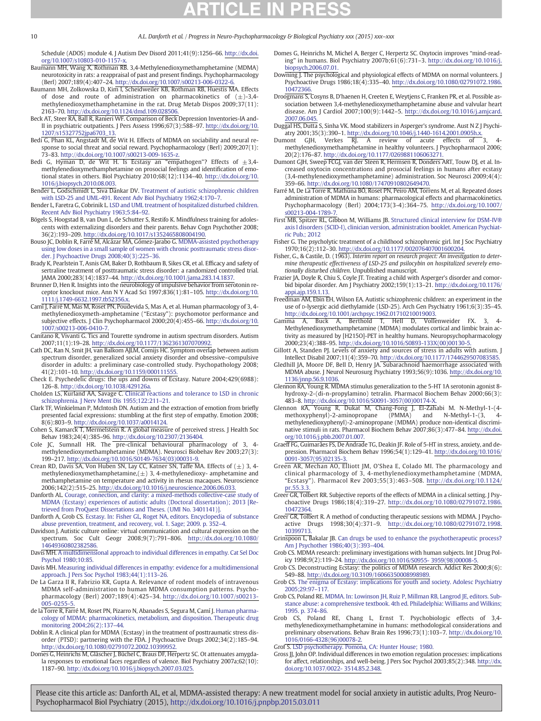<span id="page-9-0"></span>Schedule (ADOS) module 4. J Autism Dev Disord 2011;41(9):1256–66. http://dx.doi. org[/10.1007/s10803-010-1157-x.](http://dx.doi.org/10.1007/s10803-010-1157-x)

- Baumann MH, Wang X, Rothman RB. 3,4-Methylenedioxymethamphetamine (MDMA) neurotoxicity in rats: a reappraisal of past and present findings. Psychopharmacology (Berl) 2007;189(4):407–24. http://dx.doi.org/[10.1007/s00213-006-0322-6.](http://dx.doi.org/10.1007/s00213-006-0322-6)
- Baumann MH, Zolkowska D, Kim I, Scheidweiler KB, Rothman RB, Huestis MA. Effects of dose and route of administration on pharmacokinetics of  $(+)$ -3.4methylenedioxymethamphetamine in the rat. Drug Metab Dispos 2009;37(11): 2163–70. http://dx.doi.org/[10.1124/dmd.109.028506.](http://dx.doi.org/10.1124/dmd.109.028506)
- Beck AT, Steer RA, Ball R, Ranieri WF. Comparison of Beck Depression Inventories-IA and-II in psychiatric outpatients. J Pers Assess 1996;67(3):588–97. http://dx.doi.org[/10.](http://dx.doi.org/10.1207/s15327752jpa6703_13) [1207/s15327752jpa6703\\_13.](http://dx.doi.org/10.1207/s15327752jpa6703_13)
- Bedi G, Phan KL, Angstadt M, de Wit H, Effects of MDMA on sociability and neural response to social threat and social reward. Psychopharmacology (Berl) 2009;207(1): 73–83. http://dx.doi.org/[10.1007/s00213-009-1635-z.](http://dx.doi.org/10.1007/s00213-009-1635-z)
- Bedi G, Hyman D, de Wit H. Is Ecstasy an "empathogen"? Effects of  $\pm 3,4$ methylenedioxymethamphetamine on prosocial feelings and identification of emo-tional states in others. Biol Psychiatry 2010;68(12):1134–40. http://dx.doi.org[/10.](http://dx.doi.org/10.1016/j.biopsych.2010.08.003) [1016/j.biopsych.2010.08.003.](http://dx.doi.org/10.1016/j.biopsych.2010.08.003)
- Bender L, Godschmidt L, Siva Dankar DV. [Treatment of autistic schizophrenic children](http://refhub.elsevier.com/S0278-5846(15)00060-3/rf0085) [with LSD-25 and UML-491. Recent Adv Biol Psychiatry 1962;4:170](http://refhub.elsevier.com/S0278-5846(15)00060-3/rf0085)–7.
- Bender L, Faretra G, Cobrinik L. [LSD and UML treatment of hospitalized disturbed children.](http://refhub.elsevier.com/S0278-5846(15)00060-3/rf0080) [Recent Adv Biol Psychiatry 1963;5:84](http://refhub.elsevier.com/S0278-5846(15)00060-3/rf0080)–92.
- Bögels S, Hoogstad B, van Dun L, de Schutter S, Restifo K. Mindfulness training for adolescents with externalizing disorders and their parents. Behav Cogn Psychother 2008; 36(2):193–209. http://dx.doi.org[/10.1017/s1352465808004190.](http://dx.doi.org/10.1017/s1352465808004190)
- Bouso JC, Doblin R, Farré M, Alcázar MÁ, Gómez-Jarabo G. [MDMA-assisted psychotherapy](http://refhub.elsevier.com/S0278-5846(15)00060-3/rf0095) [using low doses in a small sample of women with chronic posttraumatic stress disor](http://refhub.elsevier.com/S0278-5846(15)00060-3/rf0095)[der. J Psychoactive Drugs 2008;40\(3\):225](http://refhub.elsevier.com/S0278-5846(15)00060-3/rf0095)–36.
- Brady K, Pearlstein T, Asnis GM, Baker D, Rothbaum B, Sikes CR, et al. Efficacy and safety of sertraline treatment of posttraumatic stress disorder: a randomized controlled trial. JAMA 2000;283(14):1837–44. http://dx.doi.org[/10.1001/jama.283.14.1837.](http://dx.doi.org/10.1001/jama.283.14.1837)
- Brunner D, Hen R. Insights into the neurobiology of impulsive behavior from serotonin receptor knockout mice. Ann N Y Acad Sci 1997;836(1):81–105. http://dx.doi.org[/10.](http://dx.doi.org/10.1111/j.1749-6632.1997.tb52356.x) [1111/j.1749-6632.1997.tb52356.x.](http://dx.doi.org/10.1111/j.1749-6632.1997.tb52356.x)
- Camí J, Farré M, Mas M, Roset PN, Poudevida S, Mas A, et al. Human pharmacology of 3, 4 methylenedioxymeth-amphetamine ("Ecstasy"): psychomotor performance and subjective effects. J Clin Psychopharmacol 2000;20(4):455–66. http://dx.doi.org[/10.](http://dx.doi.org/10.1007/s00213-006-0410-7) [1007/s00213-006-0410-7.](http://dx.doi.org/10.1007/s00213-006-0410-7)
- Canitano R, Vivanti G. Tics and Tourette syndrome in autism spectrum disorders. Autism 2007;11(1):19–28. http://dx.doi.org[/10.1177/1362361307070992.](http://dx.doi.org/10.1177/1362361307070992)
- Cath DC, Ran N, Smit JH, van Balkom AJLM, Comijs HC. Symptom overlap between autism spectrum disorder, generalized social anxiety disorder and obsessive–compulsive disorder in adults: a preliminary case-controlled study. Psychopathology 2008; 41(2):101–10. http://dx.doi.org[/10.1159/000111555.](http://dx.doi.org/10.1159/000111555)
- Check E. Psychedelic drugs: the ups and downs of Ecstasy. Nature 2004;429(6988): 126–8. http://dx.doi.org/[10.1038/429126a.](http://dx.doi.org/10.1038/429126a)
- Cholden LS, Kurland AA, Savage C. [Clinical reactions and tolerance to LSD in chronic](http://refhub.elsevier.com/S0278-5846(15)00060-3/rf0125) [schizophrenia. J Nerv Ment Dis 1955;122:211](http://refhub.elsevier.com/S0278-5846(15)00060-3/rf0125)–21.
- Clark TF, Winkielman P, McIntosh DN. Autism and the extraction of emotion from briefly presented facial expressions: stumbling at the first step of empathy. Emotion 2008; 8(6):803–9. http://dx.doi.org[/10.1037/a0014124.](http://dx.doi.org/10.1037/a0014124)
- Cohen S, Kamarck T, Mermelstein R. A global measure of perceived stress. J Health Soc Behav 1983;24(4):385–96. http://dx.doi.org/[10.2307/2136404.](http://dx.doi.org/10.2307/2136404)
- Cole JC, Sumnall HR. The pre-clinical behavioural pharmacology of 3, 4methylenedioxymethamphetamine (MDMA). Neurosci Biobehav Rev 2003;27(3): 199–217. http://dx.doi.org/[10.1016/S0149-7634\(03\)00031-9.](http://dx.doi.org/10.1016/S0149-7634(03)00031-9)
- Crean RD, Davis SA, Von Huben SN, Lay CC, Katner SN, Taffe MA. Effects of  $(\pm)$  3, 4methylenedioxymethamphetamine, $(\pm)$  3, 4-methylenedioxy- amphetamine and methamphetamine on temperature and activity in rhesus macaques. Neuroscience 2006;142(2):515–25. http://dx.doi.org[/10.1016/j.neuroscience.2006.06.033.](http://dx.doi.org/10.1016/j.neuroscience.2006.06.033)
- Danforth AL. [Courage, connection, and clarity: a mixed-methods collective-case study of](http://refhub.elsevier.com/S0278-5846(15)00060-3/rf0815) [MDMA \(Ecstasy\) experiences of autistic adults \(Doctoral dissertation\); 2013 \[Re](http://refhub.elsevier.com/S0278-5846(15)00060-3/rf0815)[trieved from ProQuest Dissertations and Theses. \(UMI No. 3401141\)\].](http://refhub.elsevier.com/S0278-5846(15)00060-3/rf0815)
- Danforth A, Grob CS. [Ecstasy. In: Fisher GL, Roget NA, editors. Encyclopedia of substance](http://refhub.elsevier.com/S0278-5846(15)00060-3/rf0820) [abuse prevention, treatment, and recovery, vol. 1. Sage; 2009. p. 352](http://refhub.elsevier.com/S0278-5846(15)00060-3/rf0820)–4.
- Davidson J. Autistic culture online: virtual communication and cultural expression on the spectrum. Soc Cult Geogr 2008;9(7):791–806. http://dx.doi.org/[10.1080/](http://dx.doi.org/10.1080/14649360802382586) [14649360802382586.](http://dx.doi.org/10.1080/14649360802382586)
- Davis MH. [A multidimensional approach to individual differences in empathy. Cat Sel Doc](http://refhub.elsevier.com/S0278-5846(15)00060-3/rf0160) [Psychol 1980;10:85.](http://refhub.elsevier.com/S0278-5846(15)00060-3/rf0160)
- Davis MH. [Measuring individual differences in empathy: evidence for a multidimensional](http://refhub.elsevier.com/S0278-5846(15)00060-3/rf0165) [approach. J Pers Soc Psychol 1983;44\(1\):113](http://refhub.elsevier.com/S0278-5846(15)00060-3/rf0165)–26.
- De La Garza II R, Fabrizio KR, Gupta A. Relevance of rodent models of intravenous MDMA self-administration to human MDMA consumption patterns. Psychopharmacology (Berl) 2007;189(4):425–34. http://dx.doi.org/[10.1007/s00213-](http://dx.doi.org/10.1007/s00213-005-0255-5) [005-0255-5.](http://dx.doi.org/10.1007/s00213-005-0255-5)
- de la Torre R, Farré M, Roset PN, Pizarro N, Abanades S, Segura M, Camí J. [Human pharma](http://refhub.elsevier.com/S0278-5846(15)00060-3/rf9995)[cology of MDMA: pharmacokinetics, metabolism, and disposition. Therapeutic drug](http://refhub.elsevier.com/S0278-5846(15)00060-3/rf9995) [monitoring 2004;26\(2\):137](http://refhub.elsevier.com/S0278-5846(15)00060-3/rf9995)–44.
- Doblin R. A clinical plan for MDMA (Ecstasy) in the treatment of posttraumatic stress disorder (PTSD): partnering with the FDA. J Psychoactive Drugs 2002;34(2):185–94. http://dx.doi.org[/10.1080/02791072.2002.10399952.](http://dx.doi.org/10.1080/02791072.2002.10399952)
- Domes G, Heinrichs M, Gläscher J, Büchel C, Braus DF, Herpertz SC. Ot attenuates amygdala responses to emotional faces regardless of valence. Biol Psychiatry 2007a;62(10): 1187–90. http://dx.doi.org/[10.1016/j.biopsych.2007.03.025.](http://dx.doi.org/10.1016/j.biopsych.2007.03.025)
- Domes G, Heinrichs M, Michel A, Berger C, Herpertz SC. Oxytocin improves "mind-reading" in humans. Biol Psychiatry 2007b;61(6):731–3. http://dx.doi.org[/10.1016/j.](http://dx.doi.org/10.1016/j.biopsych.2006.07.01) [biopsych.2006.07.01.](http://dx.doi.org/10.1016/j.biopsych.2006.07.01)
- Downing J. The psychological and physiological effects of MDMA on normal volunteers. J Psychoactive Drugs 1986;18(4):335–40. http://dx.doi.org[/10.1080/02791072.1986.](http://dx.doi.org/10.1080/02791072.1986.10472366) [10472366.](http://dx.doi.org/10.1080/02791072.1986.10472366)
- Droogmans S, Cosyns B, D'haenen H, Creeten E, Weytjens C, Franken PR, et al. Possible association between 3,4-methylenedioxymethamphetamine abuse and valvular heart disease. Am J Cardiol 2007;100(9):1442–5. http://dx.doi.org[/10.1016/j.amjcard.](http://dx.doi.org/10.1016/j.amjcard.2007.06.045) [2007.06.045.](http://dx.doi.org/10.1016/j.amjcard.2007.06.045)
- Duggal HS, Dutta S, Sinha VK. Mood stabilizers in Asperger's syndrome. Aust N Z J Psychiatry 2001;35(3):390–1. http://dx.doi.org[/10.1046/j.1440-1614.2001.0905h.x.](http://dx.doi.org/10.1046/j.1440-1614.2001.0905h.x)
- Dumont GJH, Verkes RJ. A review of acute effects of 3, 4 methylenedioxymethamphetamine in healthy volunteers. J Psychopharmacol 2006; 20(2):176–87. http://dx.doi.org[/10.1177/0269881106063271.](http://dx.doi.org/10.1177/0269881106063271)
- Dumont GJH, Sweep FCGJ, van der Steen R, Hermsen R, Donders ART, Touw DJ, et al. Increased oxytocin concentrations and prosocial feelings in humans after ecstasy (3,4-methylenedioxymethamphetamine) administration. Soc Neurosci 2009;4(4): 359–66. http://dx.doi.org[/10.1080/17470910802649470.](http://dx.doi.org/10.1080/17470910802649470)
- Farré M, De La Torre R, Mathúna BÓ, Roset PN, Peiro AM, Torrens M, et al. Repeated doses administration of MDMA in humans: pharmacological effects and pharmacokinetics. Psychopharmacology (Berl) 2004;173(3-4):364–75. http://dx.doi.org/[10.1007/](http://dx.doi.org/10.1007/s00213-004-1789-7) [s00213-004-1789-7.](http://dx.doi.org/10.1007/s00213-004-1789-7)
- First MB, Spitzer RL, Gibbon M, Williams JB. [Structured clinical interview for DSM-IV®](http://refhub.elsevier.com/S0278-5846(15)00060-3/rf0850) [axis I disorders \(SCID-I\), clinician version, administration booklet. American Psychiat](http://refhub.elsevier.com/S0278-5846(15)00060-3/rf0850)[ric Pub.; 2012](http://refhub.elsevier.com/S0278-5846(15)00060-3/rf0850)
- Fisher G. The psycholytic treatment of a childhood schizophrenic girl. Int J Soc Psychiatry 1970;16(2):112–30. http://dx.doi.org/[10.1177/002076407001600204.](http://dx.doi.org/10.1177/002076407001600204)
- Fisher, G., & Castile, D. (1963). Interim report on research project: An investigation to determine therapeutic effectiveness of LSD-25 and psilocybin on hospitalized severely emotionally disturbed children. Unpublished manuscript.
- Frazier JA, Doyle R, Chiu S, Coyle JT. Treating a child with Asperger's disorder and comorbid bipolar disorder. Am J Psychiatry 2002;159(1):13–21. http://dx.doi.org/[10.1176/](http://dx.doi.org/10.1176/appi.ajp.159.1.13) [appi.ajp.159.1.13.](http://dx.doi.org/10.1176/appi.ajp.159.1.13)
- Freedman AM, Ebin EH, Wilson EA. Autistic schizophrenic children: an experiment in the use of D-lysergic acid diethylamide (LSD-25). Arch Gen Psychiatry 1961;6(3):35–45. http://dx.doi.org[/10.1001/archpsyc.1962.01710210019003.](http://dx.doi.org/10.1001/archpsyc.1962.01710210019003)
- Gamma A, Buck A, Berthold T, Hell D, Vollenweider FX. 3, 4- Methylenedioxymethamphetamine (MDMA) modulates cortical and limbic brain activity as measured by [H215O]-PET in healthy humans. Neuropsychopharmacology 2000;23(4):388–95. http://dx.doi.org/[10.1016/S0893-133X\(00\)00130-5.](http://dx.doi.org/10.1016/S0893-133X(00)00130-5)
- Gillott A, Standen PJ. Levels of anxiety and sources of stress in adults with autism. J Intellect Disabil 2007;11(4):359–70. http://dx.doi.org[/10.1177/1744629507083585.](http://dx.doi.org/10.1177/1744629507083585)
- Gledhill JA, Moore DF, Bell D, Henry JA. Subarachnoid haemorrhage associated with MDMA abuse. J Neurol Neurosurg Psychiatry 1993;56(9):1036. http://dx.doi.org[/10.](http://dx.doi.org/10.1136/jnnp.56.9.1036) [1136/jnnp.56.9.1036.](http://dx.doi.org/10.1136/jnnp.56.9.1036)
- Glennon RA, Young R. MDMA stimulus generalization to the 5-HT 1A serotonin agonist 8 hydroxy-2-(di-n-propylamino) tetralin. Pharmacol Biochem Behav 2000;66(3): 483–8. http://dx.doi.org/[10.1016/S0091-3057\(00\)00174-X.](http://dx.doi.org/10.1016/S0091-3057(00)00174-X)
- Glennon RA, Young R, Dukat M, Chang-Fong J, El-Zahabi M. N-Methyl-1-(4- methoxyphenyl)-2-aminopropane (PMMA) and N-Methyl-1-(3, 4 methylenedioxyphenyl)-2-aminopropane (MDMA) produce non-identical discriminative stimuli in rats. Pharmacol Biochem Behav 2007;86(3):477–84. http://dx.doi. org[/10.1016/j.pbb.2007.01.007.](http://dx.doi.org/10.1016/j.pbb.2007.01.007)
- Graeff FG, Guimarães FS, De Andrade TG, Deakin JF. Role of 5-HT in stress, anxiety, and depression. Pharmacol Biochem Behav 1996;54(1):129–41. http://dx.doi.org/[10.1016/](http://dx.doi.org/10.1016/0091-3057(95)02135-3) [0091-3057\(95\)02135-3.](http://dx.doi.org/10.1016/0091-3057(95)02135-3)
- Green AR, Mechan AO, Elliott JM, O'Shea E, Colado MI. The pharmacology and clinical pharmacology of 3, 4-methylenedioxymethamphetamine (MDMA, "Ecstasy"). Pharmacol Rev 2003;55(3):463–508. http://dx.doi.org/[10.1124/](http://dx.doi.org/10.1124/pr.55.3.3) [pr.55.3.3.](http://dx.doi.org/10.1124/pr.55.3.3)
- Greer GR, Tolbert RR. Subjective reports of the effects of MDMA in a clinical setting. J Psychoactive Drugs 1986;18(4):319–27. http://dx.doi.org/[10.1080/02791072.1986.](http://dx.doi.org/10.1080/02791072.1986.10472364) [10472364.](http://dx.doi.org/10.1080/02791072.1986.10472364)
- Greer GR, Tolbert R. A method of conducting therapeutic sessions with MDMA. J Psychoactive Drugs 1998;30(4):371–9. http://dx.doi.org/[10.1080/02791072.1998.](http://dx.doi.org/10.1080/02791072.1998.10399713) [10399713.](http://dx.doi.org/10.1080/02791072.1998.10399713)
- Grinspoon L, Bakalar JB. [Can drugs be used to enhance the psychotherapeutic process?](http://refhub.elsevier.com/S0278-5846(15)00060-3/rf0270) [Am J Psychother 1986;40\(3\):393](http://refhub.elsevier.com/S0278-5846(15)00060-3/rf0270)–404.
- Grob CS. MDMA research: preliminary investigations with human subjects. Int J Drug Policy 1998;9(2):119–24. http://dx.doi.org[/10.1016/S0955- 3959\(98\)00008-5.](http://dx.doi.org/10.1016/S0955- 3959(98)00008-5)
- Grob CS. Deconstructing Ecstasy: the politics of MDMA research. Addict Res 2000;8(6): 549–88. http://dx.doi.org[/10.3109/16066350008998989.](http://dx.doi.org/10.3109/16066350008998989)
- Grob CS. [The enigma of Ecstasy: implications for youth and society. Adolesc Psychiatry](http://refhub.elsevier.com/S0278-5846(15)00060-3/rf0285) [2005;29:97](http://refhub.elsevier.com/S0278-5846(15)00060-3/rf0285)–117.
- Grob CS, Poland RE. [MDMA. In: Lowinson JH, Ruiz P, Millman RB, Langrod JE, editors. Sub](http://refhub.elsevier.com/S0278-5846(15)00060-3/rf0860)[stance abuse: a comprehensive textbook. 4th ed. Philadelphia: Williams and Wilkins;](http://refhub.elsevier.com/S0278-5846(15)00060-3/rf0860) [1995. p. 374](http://refhub.elsevier.com/S0278-5846(15)00060-3/rf0860)–86.
- Grob CS, Poland RE, Chang L, Ernst T. Psychobiologic effects of 3,4 methylenedioxymethamphetamine in humans: methodological considerations and preliminary observations. Behav Brain Res 1996;73(1):103–7. http://dx.doi.org[/10.](http://dx.doi.org/10.1016/0166-4328(96)00078-2) [1016/0166-4328\(96\)00078-2.](http://dx.doi.org/10.1016/0166-4328(96)00078-2)

Grof S. [LSD psychotherapy. Pomona, CA: Hunter House; 1980.](http://refhub.elsevier.com/S0278-5846(15)00060-3/rf0295)

Gross JJ, John OP. Individual differences in two emotion regulation processes: implications for affect, relationships, and well-being. J Pers Soc Psychol 2003;85(2):348. http://dx. doi.org/[10.1037/0022- 3514.85.2.348.](http://dx.doi.org/10.1037/0022- 3514.85.2.348)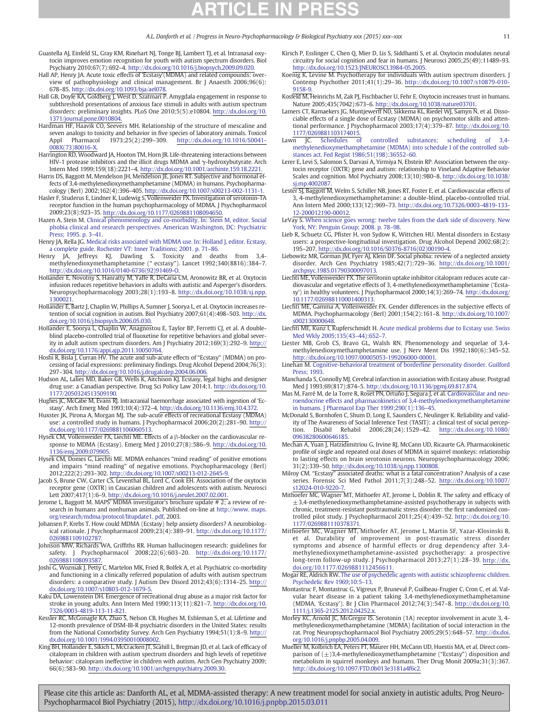- <span id="page-10-0"></span>Guastella AJ, Einfeld SL, Gray KM, Rinehart NJ, Tonge BJ, Lambert TJ, et al. Intranasal oxytocin improves emotion recognition for youth with autism spectrum disorders. Biol Psychiatry 2010;67(7):692–4. http://dx.doi.org[/10.1016/j.biopsych.2009.09.020.](http://dx.doi.org/10.1016/j.biopsych.2009.09.020)
- Hall AP, Henry JA. Acute toxic effects of 'Ecstasy'(MDMA) and related compounds: overview of pathophysiology and clinical management. Br J Anaesth 2006;96(6): 678–85. http://dx.doi.org[/10.1093/bja/ael078.](http://dx.doi.org/10.1093/bja/ael078)
- Hall GB, Doyle KA, Goldberg J, West D, Szatmari P. Amygdala engagement in response to subthreshold presentations of anxious face stimuli in adults with autism spectrum disorders: preliminary insights. PLoS One 2010;5(5):e10804. http://dx.doi.org/[10.](http://dx.doi.org/10.1371/journal.pone.0010804) [1371/journal.pone.0010804.](http://dx.doi.org/10.1371/journal.pone.0010804)
- Hardman HF, Haavik CO, Seevers MH. Relationship of the structure of mescaline and seven analogs to toxicity and behavior in five species of laboratory animals. Toxicol<br>Appl Pharmacol 1973;25(2):299-309. http://dx.doi.org/10.1016/S0041-Appl Pharmacol 1973;25(2):299–309. http://dx.doi.org/[10.1016/S0041-](http://dx.doi.org/10.1016/S0041-008X(73)80016-X) [008X\(73\)80016-X.](http://dx.doi.org/10.1016/S0041-008X(73)80016-X)
- Harrington RD, Woodward JA, Hooton TM, Horn JR. Life-threatening interactions between HIV-1 protease inhibitors and the illicit drugs MDMA and γ-hydroxybutyrate. Arch Intern Med 1999;159(18):2221–4. http://dx.doi.org[/10.1001/archinte.159.18.2221.](http://dx.doi.org/10.1001/archinte.159.18.2221)
- Harris DS, Baggott M, Mendelson JH, Mendelson JE, Jones RT. Subjective and hormonal effects of 3,4-methylenedioxymethamphetamine (MDMA) in humans. Psychopharmacology (Berl) 2002;162(4):396–405. http://dx.doi.org[/10.1007/s00213-002-1131-1.](http://dx.doi.org/10.1007/s00213-002-1131-1)
- Hasler F, Studerus E, Lindner K, Ludewig S, Vollenweider FX. Investigation of serotonin-1A receptor function in the human psychopharmacology of MDMA. J Psychopharmacol 2009;23(8):923–35. http://dx.doi.org[/10.1177/0269881108094650.](http://dx.doi.org/10.1177/0269881108094650)
- Hazen A, Stein M. [Clinical phenomenology and co-morbidity. In: Stein M, editor. Social](http://refhub.elsevier.com/S0278-5846(15)00060-3/rf0890) [phobia clinical and research perspectives. American Washington, DC: Psychiatric](http://refhub.elsevier.com/S0278-5846(15)00060-3/rf0890) [Press; 1995. p. 3](http://refhub.elsevier.com/S0278-5846(15)00060-3/rf0890)–41.
- Henry JA, Rella JG. [Medical risks associated with MDMA use. In: Holland J, editor. Ecstasy,](http://refhub.elsevier.com/S0278-5846(15)00060-3/rf0350) [a complete guide. Rochester VT: Inner Traditions; 2001. p. 71](http://refhub.elsevier.com/S0278-5846(15)00060-3/rf0350)–86.
- Henry JA, Jeffreys KJ, Dawling S. Toxicity and deaths from 3,4- methylenedioxymethamphetamine (" ecstasy"). Lancet 1992;340(8816):384–7. http://dx.doi.org[/10.1016/0140-6736\(92\)91469-O.](http://dx.doi.org/10.1016/0140-6736(92)91469-O)
- Hollander E, Novotny S, Hanratty M, Yaffe R, DeCaria CM, Aronowitz BR, et al. Oxytocin infusion reduces repetitive behaviors in adults with autistic and Asperger's disorders. Neuropsychopharmacology 2003;28(1):193–8. http://dx.doi.org/[10.1038/sj.npp.](http://dx.doi.org/10.1038/sj.npp.1300021) [1300021.](http://dx.doi.org/10.1038/sj.npp.1300021)
- Hollander E, Bartz J, Chaplin W, Phillips A, Sumner J, Soorya L, et al. Oxytocin increases retention of social cognition in autism. Biol Psychiatry 2007;61(4):498–503. http://dx. doi.org[/10.1016/j.biopsych.2006.05.030.](http://dx.doi.org/10.1016/j.biopsych.2006.05.030)
- Hollander E, Soorya L, Chaplin W, Anagnostou E, Taylor BP, Ferretti CJ, et al. A doubleblind placebo-controlled trial of fluoxetine for repetitive behaviors and global severity in adult autism spectrum disorders. Am J Psychiatry 2012;169(3):292–9. http:// dx.doi.org/[10.1176/appi.ajp.2011.10050764.](http://dx.doi.org/10.1176/appi.ajp.2011.10050764)
- Hoshi R, Bisla J, Curran HV. The acute and sub-acute effects of "Ecstasy" (MDMA) on processing of facial expressions: preliminary findings. Drug Alcohol Depend 2004;76(3): 297–304. http://dx.doi.org[/10.1016/j.drugalcdep.2004.06.006.](http://dx.doi.org/10.1016/j.drugalcdep.2004.06.006)
- Hudson AL, Lalies MD, Baker GB, Wells K, Aitchison KJ. Ecstasy, legal highs and designer drug use: a Canadian perspective. Drug Sci Policy Law 2014;1. http://dx.doi.org/[10.](http://dx.doi.org/10.1177/2050324513509190) [1177/2050324513509190.](http://dx.doi.org/10.1177/2050324513509190)
- Hughes JC, McCabe M, Evans RJ. Intracranial haemorrhage associated with ingestion of 'Ecstasy'. Arch Emerg Med 1993;10(4):372–4. http://dx.doi.org[/10.1136/emj.10.4.372.](http://dx.doi.org/10.1136/emj.10.4.372)
- Huxster JK, Pirona A, Morgan MJ. The sub-acute effects of recreational Ecstasy (MDMA) use: a controlled study in humans. J Psychopharmacol 2006;20(2):281–90. http:// dx.doi.org/[10.1177/0269881106060513.](http://dx.doi.org/10.1177/0269881106060513)
- Hysek CM, Vollenweider FX, Liechti ME. Effects of a β-blocker on the cardiovascular response to MDMA (Ecstasy). Emerg Med J 2010;27(8):586–9. http://dx.doi.org/[10.](http://dx.doi.org/10.1136/emj.2009.079905) [1136/emj.2009.079905.](http://dx.doi.org/10.1136/emj.2009.079905)
- Hysek CM, Domes G, Liechti ME. MDMA enhances "mind reading" of positive emotions and impairs "mind reading" of negative emotions. Psychopharmacology (Berl) 2012;222(2):293–302. http://dx.doi.org/[10.1007/s00213-012-2645-9.](http://dx.doi.org/10.1007/s00213-012-2645-9)
- Jacob S, Brune CW, Carter CS, Leventhal BL, Lord C, Cook EH. Association of the oxytocin receptor gene (OXTR) in Caucasian children and adolescents with autism. Neurosci Lett 2007;417(1):6–9. http://dx.doi.org[/10.1016/j.neulet.2007.02.001.](http://dx.doi.org/10.1016/j.neulet.2007.02.001)
- Jerome L, Baggott M. MAPS' MDMA investigator's brochure update # 2; a review of research in humans and nonhuman animals. Published on-line at [http://www. maps.](http://www.%20maps.%20org/research/mdma/protocol/litupdate1.%20pdf) [org/research/mdma/protocol/litupdate1. pdf](http://www.%20maps.%20org/research/mdma/protocol/litupdate1.%20pdf), 2003.
- Johansen P, Krebs T. How could MDMA (Ecstasy) help anxiety disorders? A neurobiological rationale. J Psychopharmacol 2009;23(4):389–91. http://dx.doi.org/[10.1177/](http://dx.doi.org/10.1177/0269881109102787) [0269881109102787.](http://dx.doi.org/10.1177/0269881109102787)
- Johnson MW, Richards WA, Griffiths RR. Human hallucinogen research: guidelines for safety. J Psychopharmacol 2008;22(6):603–20. http://dx.doi.org[/10.1177/](http://dx.doi.org/10.1177/0269881108093587) [0269881108093587.](http://dx.doi.org/10.1177/0269881108093587)
- Joshi G, Wozniak J, Petty C, Martelon MK, Fried R, Bolfek A, et al. Psychiatric co-morbidity and functioning in a clinically referred population of adults with autism spectrum disorders: a comparative study. J Autism Dev Disord 2012;43(6):1314–25. http:// dx.doi.org/[10.1007/s10803-012-1679-5.](http://dx.doi.org/10.1007/s10803-012-1679-5)
- Kaku DA, Lowenstein DH. Emergence of recreational drug abuse as a major risk factor for stroke in young adults. Ann Intern Med 1990;113(11):821–7. http://dx.doi.org/[10.](http://dx.doi.org/10.7326/0003-4819-113-11-821) [7326/0003-4819-113-11-821.](http://dx.doi.org/10.7326/0003-4819-113-11-821)
- Kessler RC, McGonagle KA, Zhao S, Nelson CB, Hughes M, Eshleman S, et al. Lifetime and 12-month prevalence of DSM-III-R psychiatric disorders in the United States: results from the National Comorbidity Survey. Arch Gen Psychiatry 1994;51(1):8–9. http:// dx.doi.org/[10.1001/1994.03950010008002.](http://dx.doi.org/10.1001/1994.03950010008002)
- King BH, Hollander E, Sikich L, McCracken JT, Scahill L, Bregman JD, et al. Lack of efficacy of citalopram in children with autism spectrum disorders and high levels of repetitive behavior: citalopram ineffective in children with autism. Arch Gen Psychiatry 2009; 66(6):583–90. http://dx.doi.org[/10.1001/archgenpsychiatry.2009.30.](http://dx.doi.org/10.1001/archgenpsychiatry.2009.30)
- Kirsch P, Esslinger C, Chen Q, Mier D, Lis S, Siddhanti S, et al. Oxytocin modulates neural circuitry for social cognition and fear in humans. J Neurosci 2005;25(49):11489–93. http://dx.doi.org[/10.1523/JNEUROSCI.3984-05.2005.](http://dx.doi.org/10.1523/JNEUROSCI.3984-05.2005)
- Koenig K, Levine M. Psychotherapy for individuals with autism spectrum disorders. J Contemp Psychother 2011;41(1):29–36. http://dx.doi.org/[10.1007/s10879-010-](http://dx.doi.org/10.1007/s10879-010-9158-9) [9158-9.](http://dx.doi.org/10.1007/s10879-010-9158-9)
- Kosfeld M, Heinrichs M, Zak PJ, Fischbacher U, Fehr E. Oxytocin increases trust in humans. Nature 2005;435(7042):673–6. http://dx.doi.org[/10.1038/nature03701.](http://dx.doi.org/10.1038/nature03701)
- Lamers CT, Ramaekers JG, Muntjewerff ND, Sikkema KL, Riedel WJ, Samyn N, et al. Dissociable effects of a single dose of Ecstasy (MDMA) on psychomotor skills and attentional performance. J Psychopharmacol 2003;17(4):379–87. http://dx.doi.org/[10.](http://dx.doi.org/10.1177/0269881103174015) [1177/0269881103174015.](http://dx.doi.org/10.1177/0269881103174015)
- Lawn JC. [Schedules of controlled substances; scheduling of 3,4](http://refhub.elsevier.com/S0278-5846(15)00060-3/rf0425) [methylenedioxymethamphetamine \(MDMA\) into schedule I of the controlled sub](http://refhub.elsevier.com/S0278-5846(15)00060-3/rf0425)[stances act. Fed Regist 1986;51\(198\):36552](http://refhub.elsevier.com/S0278-5846(15)00060-3/rf0425)–60.
- Lerer E, Levi S, Salomon S, Darvasi A, Yirmiya N, Ebstein RP. Association between the oxytocin receptor (OXTR) gene and autism: relationship to Vineland Adaptive Behavior Scales and cognition. Mol Psychiatry 2008;13(10):980–8. http://dx.doi.org[/10.1038/](http://dx.doi.org/10.1038/sj.mp.4002087) [sj.mp.4002087.](http://dx.doi.org/10.1038/sj.mp.4002087)
- Lester SJ, Baggott M, Welm S, Schiller NB, Jones RT, Foster E, et al. Cardiovascular effects of 3, 4-methylenedioxymethamphetamine: a double-blind, placebo-controlled trial. Ann Intern Med 2000;133(12):969–73. http://dx.doi.org[/10.7326/0003-4819-133-](http://dx.doi.org/10.7326/0003-4819-133-12-200012190-00012) [12-200012190-00012.](http://dx.doi.org/10.7326/0003-4819-133-12-200012190-00012)
- LeVay S. [When science goes wrong: twelve tales from the dark side of discovery. New](http://refhub.elsevier.com/S0278-5846(15)00060-3/rf0955) [York, NY: Penguin Group; 2008. p. 78](http://refhub.elsevier.com/S0278-5846(15)00060-3/rf0955)–98.
- Lieb R, Schuetz CG, Pfister H, von Sydow K, Wittchen HU. Mental disorders in Ecstasy users: a prospective-longitudinal investigation. Drug Alcohol Depend 2002;68(2): 195–207. http://dx.doi.org[/10.1016/S0376-8716\(02\)00190-4.](http://dx.doi.org/10.1016/S0376-8716(02)00190-4)
- Liebowitz MR, Gorman JM, Fyer AJ, Klein DF. Social phobia: review of a neglected anxiety disorder. Arch Gen Psychiatry 1985;42(7):729–36. http://dx.doi.org[/10.1001/](http://dx.doi.org/10.1001/archpsyc.1985.01790300097013) [archpsyc.1985.01790300097013.](http://dx.doi.org/10.1001/archpsyc.1985.01790300097013)
- Liechti ME, Vollenweider FX. The serotonin uptake inhibitor citalopram reduces acute cardiovascular and vegetative effects of 3, 4-methylenedioxymethamphetamine ('Ecstasy') in healthy volunteers. J Psychopharmacol 2000;14(3):269-74. http://dx.doi.org/ [10.1177/026988110001400313.](http://dx.doi.org/10.1177/026988110001400313)
- Liechti ME, Gamma A, Vollenweider FX. Gender differences in the subjective effects of MDMA. Psychopharmacology (Berl) 2001;154(2):161–8. http://dx.doi.org[/10.1007/](http://dx.doi.org/10.1007/s002130000648) [s002130000648.](http://dx.doi.org/10.1007/s002130000648)
- Liechti ME, Kunz I, Kupferschmidt H. [Acute medical problems due to Ecstasy use. Swiss](http://refhub.elsevier.com/S0278-5846(15)00060-3/rf0465) [Med Wkly 2005;135\(43](http://refhub.elsevier.com/S0278-5846(15)00060-3/rf0465)–44):652–7.
- Liester MB, Grob CS, Bravo GL, Walsh RN. Phenomenology and sequelae of 3,4 methylenedioxymethamphetamine use. J Nerv Ment Dis 1992;180(6):345–52. http://dx.doi.org[/10.1097/00005053-199206000-00001.](http://dx.doi.org/10.1097/00005053-199206000-00001)
- Linehan M. [Cognitive-behavioral treatment of borderline personality disorder. Guilford](http://refhub.elsevier.com/S0278-5846(15)00060-3/rf0475) [Press; 1993.](http://refhub.elsevier.com/S0278-5846(15)00060-3/rf0475)
- Manchanda S, Connolly MJ. Cerebral infarction in association with Ecstasy abuse. Postgrad Med J 1993;69(817):874–5. http://dx.doi.org[/10.1136/pgmj.69.817.874.](http://dx.doi.org/10.1136/pgmj.69.817.874)
- Mas M, Farré M, de la Torre R, Roset PN, Ortuño J, Segura J, et al. [Cardiovascular and neu](http://refhub.elsevier.com/S0278-5846(15)00060-3/rf0490)[roendocrine effects and pharmacokinetics of 3,4-methylenedioxymethamphetamine](http://refhub.elsevier.com/S0278-5846(15)00060-3/rf0490) [in humans. J Pharmacol Exp Ther 1999;290\(1\):136](http://refhub.elsevier.com/S0278-5846(15)00060-3/rf0490)–45.
- McDonald S, Bornhofen C, Shum D, Long E, Saunders C, Neulinger K. Reliability and validity of The Awareness of Social Inference Test (TASIT): a clinical test of social perception. Disabil Rehabil 2006;28(24):1529–42. http://dx.doi.org[/10.1080/](http://dx.doi.org/10.1080/09638280600646185) [09638280600646185.](http://dx.doi.org/10.1080/09638280600646185)
- Mechan A, Yuan J, Hatzidimitriou G, Irvine RJ, McCann UD, Ricaurte GA. Pharmacokinetic profile of single and repeated oral doses of MDMA in squirrel monkeys: relationship to lasting effects on brain serotonin neurons. Neuropsychopharmacology 2006; 31(2):339–50. http://dx.doi.org[/10.1038/sj.npp.1300808.](http://dx.doi.org/10.1038/sj.npp.1300808)
- Milroy CM. "Ecstasy" associated deaths: what is a fatal concentration? Analysis of a case series. Forensic Sci Med Pathol 2011;7(3):248–52. http://dx.doi.org[/10.1007/](http://dx.doi.org/10.1007/s12024-010-9220-7) [s12024-010-9220-7.](http://dx.doi.org/10.1007/s12024-010-9220-7)
- Mithoefer MC, Wagner MT, Mithoefer AT, Jerome L, Doblin R. The safety and efficacy of  $±3,4$ -methylenedioxymethamphetamine-assisted psychotherapy in subjects with chronic, treatment-resistant posttraumatic stress disorder: the first randomized controlled pilot study. J Psychopharmacol 2011;25(4):439–52. http://dx.doi.org/[10.](http://dx.doi.org/10.1177/0269881110378371) [1177/0269881110378371.](http://dx.doi.org/10.1177/0269881110378371)
- Mithoefer MC, Wagner MT, Mithoefer AT, Jerome L, Martin SF, Yazar-Klosinski B, et al. Durability of improvement in post-traumatic stress disorder symptoms and absence of harmful effects or drug dependency after 3,4 methylenedioxymethamphetamine-assisted psychotherapy: a prospective long-term follow-up study. J Psychopharmacol 2013;27(1):28–39. http://dx. doi.org/[10.1177/0269881112456611.](http://dx.doi.org/10.1177/0269881112456611)
- Mogar RE, Aldrich RW. [The use of psychedelic agents with autistic schizophrenic children.](http://refhub.elsevier.com/S0278-5846(15)00060-3/rf0515)
- [Psychedelic Rev 1969;10:5](http://refhub.elsevier.com/S0278-5846(15)00060-3/rf0515)–13.<br>Montastruc F, Montastruc G, Vigreux P, Bruneval P, Guilbeau-Frugier C, Cron C, et al. Val<br>vlar heart disease in a patient taking 3,4-methylenedioxymethamphetamine<br>(MDMA, 'Ecstasy'). Br J Clin
- Morley KC, Arnold JC, McGregor IS. Serotonin (1A) receptor involvement in acute 3, 4methylenedioxymethamphetamine (MDMA) facilitation of social interaction in the rat. Prog Neuropsychopharmacol Biol Psychiatry 2005;29(5):648–57. http://dx.doi. org[/10.1016/j.pnpbp.2005.04.009.](http://dx.doi.org/10.1016/j.pnpbp.2005.04.009)
- Mueller M, Kolbrich EA, Peters FT, Maurer HH, McCann UD, Huestis MA, et al. Direct comparison of  $(\pm)$ 3,4-methylenedioxymethamphetamine ("Ecstasy") disposition and metabolism in squirrel monkeys and humans. Ther Drug Monit 2009a;31(3):367. http://dx.doi.org[/10.1097/FTD.0b013e3181a4f6c2.](http://dx.doi.org/10.1097/FTD.0b013e3181a4f6c2)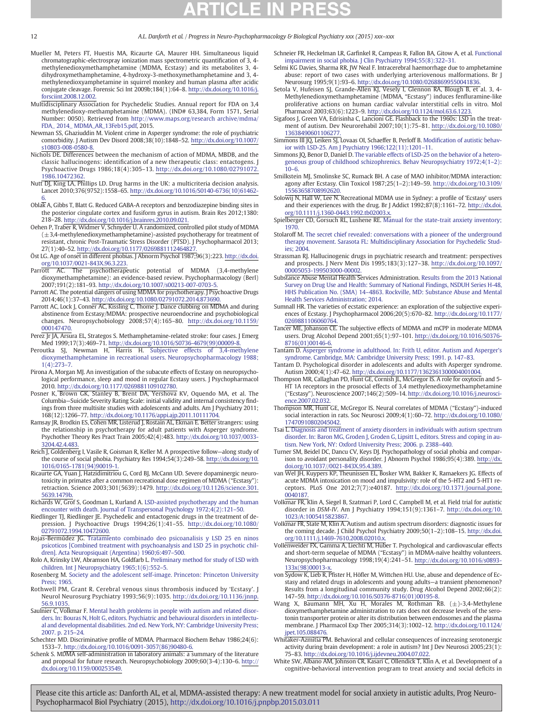- Mueller M, Peters FT, Huestis MA, Ricaurte GA, Maurer HH. Simultaneous liquid chromatographic-electrospray ionization mass spectrometric quantification of 3, 4 methylenedioxymethamphetamine (MDMA, Ecstasy) and its metabolites 3, 4 dihydroxymethamphetamine, 4-hydroxy-3-methoxymethamphetamine and 3, 4 methylenedioxyamphetamine in squirrel monkey and human plasma after acidic conjugate cleavage. Forensic Sci Int 2009b;184(1):64–8. http://dx.doi.org[/10.1016/j.](http://dx.doi.org/10.1016/j.forsciint.2008.12.002) [forsciint.2008.12.002.](http://dx.doi.org/10.1016/j.forsciint.2008.12.002)
- Multidisciplinary Association for Psychedelic Studies. Annual report for FDA on 3,4 methylenedioxy-methamphetamine (MDMA). (IND# 63,384, Form 1571, Serial Number: 0050). Retrieved from [http://www.maps.org/research archive/mdma/](http://www.maps.org/research%20archive/mdma/FDA_%202014_%20MDMA_AR_13Feb15.pdf) [FDA\\_ 2014\\_ MDMA\\_AR\\_13Feb15.pdf,](http://www.maps.org/research%20archive/mdma/FDA_%202014_%20MDMA_AR_13Feb15.pdf) 2015.
- Newman SS, Ghaziuddin M. Violent crime in Asperger syndrome: the role of psychiatric comorbidity. J Autism Dev Disord 2008;38(10):1848–52. http://dx.doi.org/[10.1007/](http://dx.doi.org/10.1007/s10803-008-0580-8) [s10803-008-0580-8.](http://dx.doi.org/10.1007/s10803-008-0580-8)
- Nichols DE. Differences between the mechanism of action of MDMA, MBDB, and the classic hallucinogens: identification of a new therapeutic class: entactogens. J Psychoactive Drugs 1986;18(4):305–13. http://dx.doi.org[/10.1080/02791072.](http://dx.doi.org/10.1080/02791072.1986.10472362) [1986.10472362.](http://dx.doi.org/10.1080/02791072.1986.10472362)
- Nutt DJ, King LA, Phillips LD. Drug harms in the UK: a multicriteria decision analysis. Lancet 2010;376(9752):1558–65. http://dx.doi.org[/10.1016/S0140-6736\(10\)61462-](http://dx.doi.org/10.1016/S0140-6736(10)61462-6) [6.](http://dx.doi.org/10.1016/S0140-6736(10)61462-6)
- Obla $\overline{k}$  A, Gibbs T, Blatt G. Reduced GABA-A receptors and benzodiazepine binding sites in the posterior cingulate cortex and fusiform gyrus in autism. Brain Res 2012;1380: 218–28. http://dx.doi.org[/10.1016/j.brainres.2010.09.021.](http://dx.doi.org/10.1016/j.brainres.2010.09.021)
- Oehen P, Traber R, Widmer V, Schnyder U. A randomized, controlled pilot study of MDMA  $(\pm 3,4$ -methylenedioxymethamphetamine)-assisted psychotherapy for treatment of resistant, chronic Post-Traumatic Stress Disorder (PTSD). J Psychopharmacol 2013; 27(1):40–52. http://dx.doi.org/[10.1177/0269881112464827.](http://dx.doi.org/10.1177/0269881112464827)
- Öst LG. Age of onset in different phobias. J Abnorm Psychol 1987;96(3):223. http://dx.doi. org[/10.1037/0021-843X.96.3.223.](http://dx.doi.org/10.1037/0021-843X.96.3.223)
- Parrott AC. The psychotherapeutic potential of MDMA (3,4-methylene dioxymethamphetamine): an evidence-based review. Psychopharmacology (Berl) 2007;191(2):181–93. http://dx.doi.org[/10.1007/s00213-007-0703-5.](http://dx.doi.org/10.1007/s00213-007-0703-5)
- Parrott AC. The potential dangers of using MDMA for psychotherapy. J Psychoactive Drugs 2014;46(1):37–43. http://dx.doi.org[/10.1080/02791072.2014.873690.](http://dx.doi.org/10.1080/02791072.2014.873690)
- Parrott AC, Lock J, Conner AC, Kissling C, Thome J. Dance clubbing on MDMA and during abstinence from Ecstasy/MDMA: prospective neuroendocrine and psychobiological changes. Neuropsychobiology 2008;57(4):165–80. http://dx.doi.org/[10.1159/](http://dx.doi.org/10.1159/000147470) [000147470.](http://dx.doi.org/10.1159/000147470)
- Perez Jr JA, Arsura EL, Strategos S. Methamphetamine-related stroke: four cases. J Emerg Med 1999;17(3):469–71. http://dx.doi.org[/10.1016/S0736-4679\(99\)00009-8.](http://dx.doi.org/10.1016/S0736-4679(99)00009-8)
- Peroutka SJ, Newman H, Harris H. [Subjective effects of 3,4-methylene](http://refhub.elsevier.com/S0278-5846(15)00060-3/rf0580) [dioxymethamphetamine in recreational users. Neuropsychopharmacology 1988;](http://refhub.elsevier.com/S0278-5846(15)00060-3/rf0580) [1\(4\):273](http://refhub.elsevier.com/S0278-5846(15)00060-3/rf0580)–7.
- Pirona A, Morgan MJ. An investigation of the subacute effects of Ecstasy on neuropsychological performance, sleep and mood in regular Ecstasy users. J Psychopharmacol 2010. http://dx.doi.org[/10.1177/0269881109102780.](http://dx.doi.org/10.1177/0269881109102780)
- Posner K, Brown GK, Stanley B, Brent DA, Yershova KV, Oquendo MA, et al. The Columbia—Suicide Severity Rating Scale: initial validity and internal consistency findings from three multisite studies with adolescents and adults. Am J Psychiatry 2011; 168(12):1266–77. http://dx.doi.org[/10.1176/appi.ajp.2011.10111704.](http://dx.doi.org/10.1176/appi.ajp.2011.10111704)
- Ramsay JR, Brodkin ES, Cohen MR, Listerud J, Rostain AL, Ekman E. Better strangers: using the relationship in psychotherapy for adult patients with Asperger syndrome. Psychother Theory Res Pract Train 2005;42(4):483. http://dx.doi.org/[10.1037/0033-](http://dx.doi.org/10.1037/0033-3204.42.4.483) [3204.42.4.483.](http://dx.doi.org/10.1037/0033-3204.42.4.483)
- Reich J, Goldenberg I, Vasile R, Goisman R, Keller M. A prospective follow-along study of the course of social phobia. Psychiatry Res 1994;54(3):249–58. http://dx.doi.org[/10.](http://dx.doi.org/10.1016/0165-1781(94)90019-1) [1016/0165-1781\(94\)90019-1.](http://dx.doi.org/10.1016/0165-1781(94)90019-1)
- Ricaurte GA, Yuan J, Hatzidimitriou G, Cord BJ, McCann UD. Severe dopaminergic neurotoxicity in primates after a common recreational dose regimen of MDMA ("Ecstasy"): retraction. Science 2003;301(5639):1479. http://dx.doi.org[/10.1126/science.301.](http://dx.doi.org/10.1126/science.301.5639.1479b) [5639.1479b.](http://dx.doi.org/10.1126/science.301.5639.1479b)
- Richards W, Grof S, Goodman L, Kurland A. [LSD-assisted psychotherapy and the human](http://refhub.elsevier.com/S0278-5846(15)00060-3/rf9910) [encounter with death. Journal of Transpersonal Psychology 1972;4\(2\):121](http://refhub.elsevier.com/S0278-5846(15)00060-3/rf9910)–50.
- Riedlinger TJ, Riedlinger JE. Psychedelic and entactogenic drugs in the treatment of depression. J Psychoactive Drugs 1994;26(1):41–55. http://dx.doi.org/[10.1080/](http://dx.doi.org/10.1080/02791072.1994.10472600) [02791072.1994.10472600.](http://dx.doi.org/10.1080/02791072.1994.10472600)
- Rojas-Bermúdez JG. [Tratamiento combinado deo psicoanalisis y LSD 25 en ninos](http://refhub.elsevier.com/S0278-5846(15)00060-3/rf0605) [psicoticos \[Combined treatment with psychoanalysis and LSD 25 in psychotic chil](http://refhub.elsevier.com/S0278-5846(15)00060-3/rf0605)[dren\]. Acta Neuropsiquait \(Argentina\) 1960;6:497](http://refhub.elsevier.com/S0278-5846(15)00060-3/rf0605)–500.
- Rolo A, Krinsky LW, Abramson HA, Goldfarb L. [Preliminary method for study of LSD with](http://refhub.elsevier.com/S0278-5846(15)00060-3/rf0610) [children. Int J Neuropsychiatry 1965;1\(6\):552](http://refhub.elsevier.com/S0278-5846(15)00060-3/rf0610)–5.
- Rosenberg M. [Society and the adolescent self-image. Princeton: Princeton University](http://refhub.elsevier.com/S0278-5846(15)00060-3/rf1030) [Press; 1965.](http://refhub.elsevier.com/S0278-5846(15)00060-3/rf1030)
- Rothwell PM, Grant R. Cerebral venous sinus thrombosis induced by 'Ecstasy'. J Neurol Neurosurg Psychiatry 1993;56(9):1035. http://dx.doi.org/[10.1136/jnnp.](http://dx.doi.org/10.1136/jnnp.56.9.1035) [56.9.1035.](http://dx.doi.org/10.1136/jnnp.56.9.1035)
- Saulnier C, Volkmar F. [Mental health problems in people with autism and related disor](http://refhub.elsevier.com/S0278-5846(15)00060-3/rf0620)[ders. In: Bouras N, Holt G, editors. Psychiatric and behavioural disorders in intellectu](http://refhub.elsevier.com/S0278-5846(15)00060-3/rf0620)[al and developmental disabilities. 2nd ed. New York, NY: Cambridge University Press;](http://refhub.elsevier.com/S0278-5846(15)00060-3/rf0620) [2007. p. 215](http://refhub.elsevier.com/S0278-5846(15)00060-3/rf0620)–24.
- Schechter MD. Discriminative profile of MDMA. Pharmacol Biochem Behav 1986;24(6): 1533–7. http://dx.doi.org[/10.1016/0091-3057\(86\)90480-6.](http://dx.doi.org/10.1016/0091-3057(86)90480-6)
- Schenk S. MDMA self-administration in laboratory animals: a summary of the literature and proposal for future research. Neuropsychobiology 2009;60(3-4):130–6. http:// dx.doi.org[/10.1159/000253549.](http://dx.doi.org/10.1159/000253549)
- Schneier FR, Heckelman LR, Garfinkel R, Campeas R, Fallon BA, Gitow A, et al. [Functional](http://refhub.elsevier.com/S0278-5846(15)00060-3/rf1045) [impairment in social phobia. J Clin Psychiatry 1994;55\(8\):322](http://refhub.elsevier.com/S0278-5846(15)00060-3/rf1045)–31.
- Selmi KG Davies, Sharma RR, JW Neal F. Intracerebral haemorrhage due to amphetamine abuse: report of two cases with underlying arteriovenous malformations. Br J Neurosurg 1995;9(1):93–6. http://dx.doi.org[/10.1080/02688699550041836.](http://dx.doi.org/10.1080/02688699550041836)
- Setola V, Hufeisen SJ, Grande-Allen KJ, Vesely I, Glennon RA, Blough B, et al. 3, 4- Methylenedioxymethamphetamine (MDMA, "Ecstasy") induces fenfluramine-like proliferative actions on human cardiac valvular interstitial cells in vitro. Mol
- Pharmacol 2003;63(6):1223–9. http://dx.doi.org[/10.1124/mol.63.6.1223.](http://dx.doi.org/10.1124/mol.63.6.1223) Sigafoos J, Green VA, Edrisinha C, Lancioni GE. Flashback to the 1960s: LSD in the treatment of autism. Dev Neurorehabil 2007;10(1):75–81. http://dx.doi.org/[10.1080/](http://dx.doi.org/10.1080/13638490601106277) [13638490601106277.](http://dx.doi.org/10.1080/13638490601106277)
- Simmons III JQ, Leiken SJ, Lovaas OI, Schaeffer B, Perloff B, Modifi[cation of autistic behav](http://refhub.elsevier.com/S0278-5846(15)00060-3/rf0645)[ior with LSD-25. Am J Psychiatry 1966;122\(11\):1201](http://refhub.elsevier.com/S0278-5846(15)00060-3/rf0645)–11.
- Simmons JQ, Benor D, Daniel D. [The variable effects of LSD-25 on the behavior of a hetero](http://refhub.elsevier.com/S0278-5846(15)00060-3/rf0640)[geneous group of childhood schizophrenics. Behav Neuropsychiatry 1972;4\(1](http://refhub.elsevier.com/S0278-5846(15)00060-3/rf0640)–2):  $10–6.$  $10–6.$
- Smilkstein MJ, Smolinske SC, Rumack BH. A case of MAO inhibitor/MDMA interaction: agony after Ecstasy. Clin Toxicol 1987;25(1–2):149–59. http://dx.doi.org[/10.3109/](http://dx.doi.org/10.3109/15563658708992620) [15563658708992620.](http://dx.doi.org/10.3109/15563658708992620)
- Solowij N, Hall W, Lee N. Recreational MDMA use in Sydney: a profile of 'Ecstasy' users and their experiences with the drug. Br J Addict 1992;87(8):1161–72. http://dx.doi.
- org[/10.1111/j.1360-0443.1992.tb02003.x.](http://dx.doi.org/10.1111/j.1360-0443.1992.tb02003.x) Spielberger CD, Gorsuch RL, Lushene RE. [Manual for the state-trait anxiety inventory;](http://refhub.elsevier.com/S0278-5846(15)00060-3/rf0660) [1970.](http://refhub.elsevier.com/S0278-5846(15)00060-3/rf0660)
- Stolaroff M. [The secret chief revealed: conversations with a pioneer of the underground](http://refhub.elsevier.com/S0278-5846(15)00060-3/rf0665) [therapy movement. Sarasota FL: Multidisciplinary Association for Psychedelic Stud](http://refhub.elsevier.com/S0278-5846(15)00060-3/rf0665)[ies; 2004.](http://refhub.elsevier.com/S0278-5846(15)00060-3/rf0665)
- Strassman RJ. Hallucinogenic drugs in psychiatric research and treatment: perspectives and prospects. J Nerv Ment Dis 1995;183(3):127–38. http://dx.doi.org/[10.1097/](http://dx.doi.org/10.1097/00005053-199503000-00002) [00005053-199503000-00002.](http://dx.doi.org/10.1097/00005053-199503000-00002)
- Substance Abuse Mental Health Services Administration. [Results from the 2013 National](http://refhub.elsevier.com/S0278-5846(15)00060-3/rf0675) [Survey on Drug Use and Health: Summary of National Findings, NSDUH Series H-48,](http://refhub.elsevier.com/S0278-5846(15)00060-3/rf0675) HHS Publication No. (SMA) 14–[4863. Rockville, MD: Substance Abuse and Mental](http://refhub.elsevier.com/S0278-5846(15)00060-3/rf0675) [Health Services Administration; 2014.](http://refhub.elsevier.com/S0278-5846(15)00060-3/rf0675)
- Sumnall HR. The varieties of ecstatic experience: an exploration of the subjective experiences of Ecstasy. J Psychopharmacol 2006;20(5):670–82. http://dx.doi.org/[10.1177/](http://dx.doi.org/10.1177/0269881106060764) [0269881106060764.](http://dx.doi.org/10.1177/0269881106060764)
- Tancer ME, Johanson CE. The subjective effects of MDMA and mCPP in moderate MDMA users. Drug Alcohol Depend 2001;65(1):97–101. http://dx.doi.org/[10.1016/S0376-](http://dx.doi.org/10.1016/S0376-8716(01)00146-6) [8716\(01\)00146-6.](http://dx.doi.org/10.1016/S0376-8716(01)00146-6)
- Tantam D. [Asperger syndrome in adulthood. In: Frith U, editor. Autism and Asperger's](http://refhub.elsevier.com/S0278-5846(15)00060-3/rf0690) [syndrome. Cambridge, MA: Cambridge University Press; 1991. p. 147](http://refhub.elsevier.com/S0278-5846(15)00060-3/rf0690)–83.
- Tantam D. Psychological disorder in adolescents and adults with Asperger syndrome. Autism 2000;4(1):47–62. http://dx.doi.org/[10.1177/1362361300004001004.](http://dx.doi.org/10.1177/1362361300004001004)
- Thompson MR, Callaghan PD, Hunt GE, Cornish JL, McGregor IS. A role for oxytocin and 5- HT 1A receptors in the prosocial effects of 3,4 methylenedioxymethamphetamine ("Ecstasy"). Neuroscience 2007;146(2):509–14. http://dx.doi.org[/10.1016/j.neurosci](http://dx.doi.org/10.1016/j.neuroscience.2007.02.032)[ence.2007.02.032.](http://dx.doi.org/10.1016/j.neuroscience.2007.02.032)
- Thompson MR, Hunt GE, McGregor IS. Neural correlates of MDMA ("Ecstasy")-induced social interaction in rats. Soc Neurosci 2009;4(1):60–72. http://dx.doi.org[/10.1080/](http://dx.doi.org/10.1080/17470910802045042) [17470910802045042.](http://dx.doi.org/10.1080/17470910802045042)
- Tsai L. [Diagnosis and treatment of anxiety disorders in individuals with autism spectrum](http://refhub.elsevier.com/S0278-5846(15)00060-3/rf0710) [disorder. In: Baron MG, Groden J, Groden G, Lipsitt L, editors. Stress and coping in au](http://refhub.elsevier.com/S0278-5846(15)00060-3/rf0710)[tism. New York, NY: Oxford University Press; 2006. p. 2388](http://refhub.elsevier.com/S0278-5846(15)00060-3/rf0710)–440.
- Turner SM, Beidel DC, Dancu CV, Keys DJ. Psychopathology of social phobia and comparison to avoidant personality disorder. J Abnorm Psychol 1986;95(4):389. http://dx. doi.org/[10.1037//0021-843X.95.4.389.](http://dx.doi.org/10.1037//0021-843X.95.4.389)
- van Wel JH, Kuypers KP, Theunissen EL, Bosker WM, Bakker K, Ramaekers JG. Effects of acute MDMA intoxication on mood and impulsivity: role of the 5-HT2 and 5-HT1 receptors. PLoS One 2012;7(7):e40187. http://dx.doi.org/[10.1371/journal.pone.](http://dx.doi.org/10.1371/journal.pone.0040187) [0040187.](http://dx.doi.org/10.1371/journal.pone.0040187)
- Volkmar FR, Klin A, Siegel B, Szatmari P, Lord C, Campbell M, et al. Field trial for autistic disorder in DSM-IV. Am J Psychiatry 1994;151(9):1361–7. http://dx.doi.org/[10.](http://dx.doi.org/10.1023/A:1005415823867) [1023/A:1005415823867.](http://dx.doi.org/10.1023/A:1005415823867)
- Volkmar FR, State M, Klin A. Autism and autism spectrum disorders: diagnostic issues for the coming decade. J Child Psychol Psychiatry 2009;50(1–2):108–15. http://dx.doi. org[/10.1111/j.1469-7610.2008.02010.x.](http://dx.doi.org/10.1111/j.1469-7610.2008.02010.x)
- Vollenweider FX, Gamma A, Liechti M, Huber T. Psychological and cardiovascular effects and short-term sequelae of MDMA ("Ecstasy") in MDMA-naïve healthy volunteers. Neuropsychopharmacology 1998;19(4):241–51. http://dx.doi.org[/10.1016/s0893-](http://dx.doi.org/10.1016/s0893-133x(98)00013-x) [133x\(98\)00013-x.](http://dx.doi.org/10.1016/s0893-133x(98)00013-x)
- von Sydow K, Lieb R, Pfister H, Höfler M, Wittchen HU. Use, abuse and dependence of Ecstasy and related drugs in adolescents and young adults—a transient phenomenon? Results from a longitudinal community study. Drug Alcohol Depend 2002;66(2):
- 147–59. http://dx.doi.org[/10.1016/S0376-8716\(01\)00195-8.](http://dx.doi.org/10.1016/S0376-8716(01)00195-8) Wang X, Baumann MH, Xu H, Morales M, Rothman RB. (±)-3,4-Methylene dioxymethamphetamine administration to rats does not decrease levels of the serotonin transporter protein or alter its distribution between endosomes and the plasma membrane. J Pharmacol Exp Ther 2005;314(3):1002–12. http://dx.doi.org/[10.1124/](http://dx.doi.org/10.1124/jpet.105.088476) [jpet.105.088476.](http://dx.doi.org/10.1124/jpet.105.088476)
- Whitaker-Azmitia PM. Behavioral and cellular consequences of increasing serotonergic activity during brain development: a role in autism? Int J Dev Neurosci 2005;23(1): 75–83. http://dx.doi.org/[10.1016/j.ijdevneu.2004.07.022.](http://dx.doi.org/10.1016/j.ijdevneu.2004.07.022)
- White SW, Albano AM, Johnson CR, Kasari C, Ollendick T, Klin A, et al. Development of a cognitive-behavioral intervention program to treat anxiety and social deficits in

<span id="page-11-0"></span>